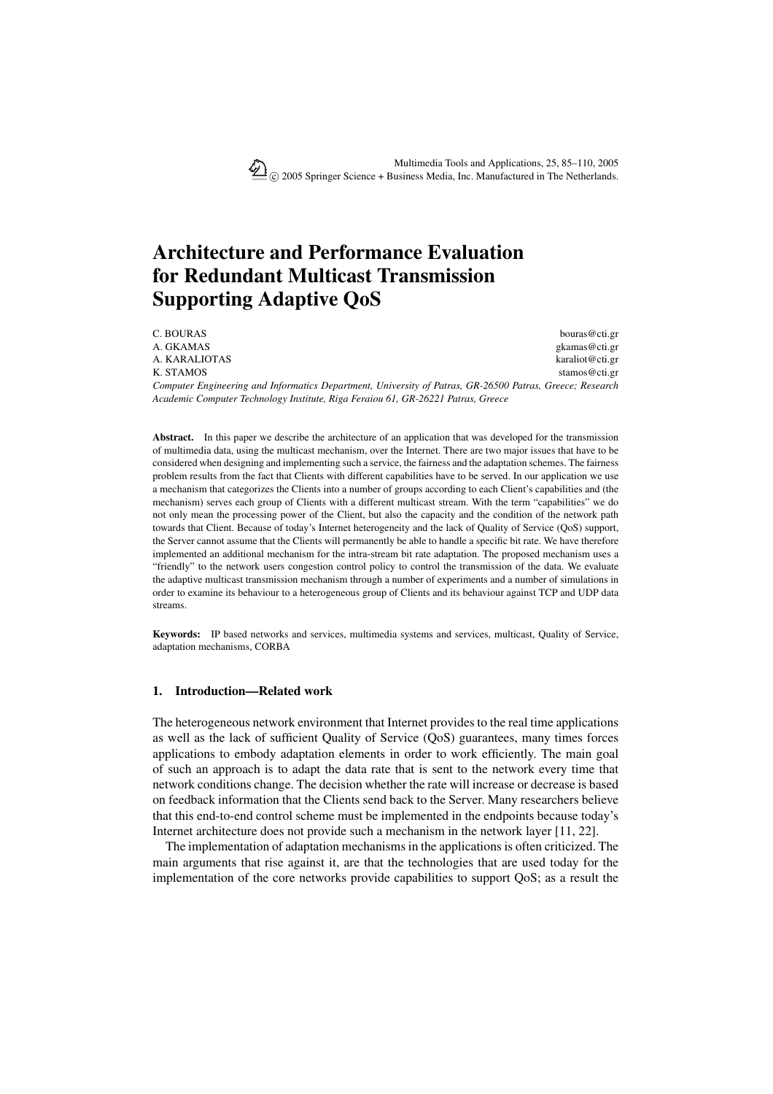# **Architecture and Performance Evaluation for Redundant Multicast Transmission Supporting Adaptive QoS**

C. BOURAS bouras@cti.gr A. GKAMAS gkamas@cti.gr A. KARALIOTAS karaliot@cti.gr K. STAMOS stamos @cti.gr *Computer Engineering and Informatics Department, University of Patras, GR-26500 Patras, Greece; Research Academic Computer Technology Institute, Riga Feraiou 61, GR-26221 Patras, Greece*

**Abstract.** In this paper we describe the architecture of an application that was developed for the transmission of multimedia data, using the multicast mechanism, over the Internet. There are two major issues that have to be considered when designing and implementing such a service, the fairness and the adaptation schemes. The fairness problem results from the fact that Clients with different capabilities have to be served. In our application we use a mechanism that categorizes the Clients into a number of groups according to each Client's capabilities and (the mechanism) serves each group of Clients with a different multicast stream. With the term "capabilities" we do not only mean the processing power of the Client, but also the capacity and the condition of the network path towards that Client. Because of today's Internet heterogeneity and the lack of Quality of Service (QoS) support, the Server cannot assume that the Clients will permanently be able to handle a specific bit rate. We have therefore implemented an additional mechanism for the intra-stream bit rate adaptation. The proposed mechanism uses a "friendly" to the network users congestion control policy to control the transmission of the data. We evaluate the adaptive multicast transmission mechanism through a number of experiments and a number of simulations in order to examine its behaviour to a heterogeneous group of Clients and its behaviour against TCP and UDP data streams.

**Keywords:** IP based networks and services, multimedia systems and services, multicast, Quality of Service, adaptation mechanisms, CORBA

## **1. Introduction—Related work**

The heterogeneous network environment that Internet provides to the real time applications as well as the lack of sufficient Quality of Service (QoS) guarantees, many times forces applications to embody adaptation elements in order to work efficiently. The main goal of such an approach is to adapt the data rate that is sent to the network every time that network conditions change. The decision whether the rate will increase or decrease is based on feedback information that the Clients send back to the Server. Many researchers believe that this end-to-end control scheme must be implemented in the endpoints because today's Internet architecture does not provide such a mechanism in the network layer [11, 22].

The implementation of adaptation mechanisms in the applications is often criticized. The main arguments that rise against it, are that the technologies that are used today for the implementation of the core networks provide capabilities to support QoS; as a result the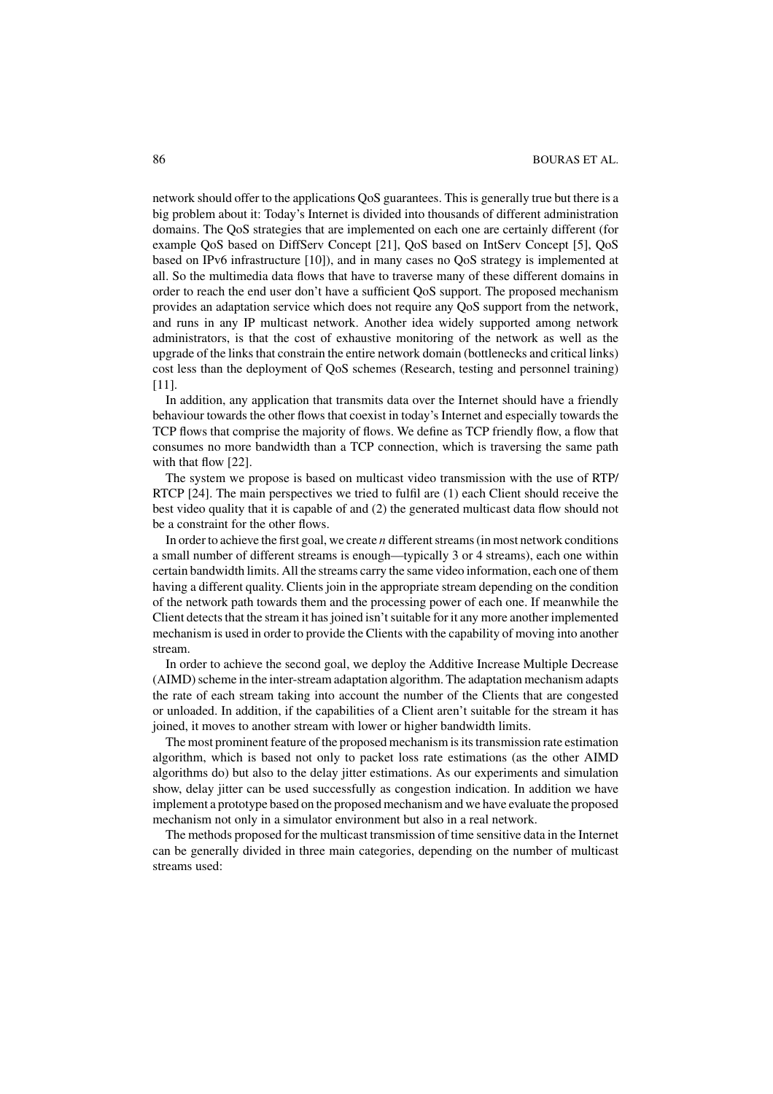network should offer to the applications QoS guarantees. This is generally true but there is a big problem about it: Today's Internet is divided into thousands of different administration domains. The QoS strategies that are implemented on each one are certainly different (for example QoS based on DiffServ Concept [21], QoS based on IntServ Concept [5], QoS based on IPv6 infrastructure [10]), and in many cases no QoS strategy is implemented at all. So the multimedia data flows that have to traverse many of these different domains in order to reach the end user don't have a sufficient QoS support. The proposed mechanism provides an adaptation service which does not require any QoS support from the network, and runs in any IP multicast network. Another idea widely supported among network administrators, is that the cost of exhaustive monitoring of the network as well as the upgrade of the links that constrain the entire network domain (bottlenecks and critical links) cost less than the deployment of QoS schemes (Research, testing and personnel training) [11].

In addition, any application that transmits data over the Internet should have a friendly behaviour towards the other flows that coexist in today's Internet and especially towards the TCP flows that comprise the majority of flows. We define as TCP friendly flow, a flow that consumes no more bandwidth than a TCP connection, which is traversing the same path with that flow [22].

The system we propose is based on multicast video transmission with the use of RTP/ RTCP [24]. The main perspectives we tried to fulfil are (1) each Client should receive the best video quality that it is capable of and (2) the generated multicast data flow should not be a constraint for the other flows.

In order to achieve the first goal, we create *n* different streams (in most network conditions a small number of different streams is enough—typically 3 or 4 streams), each one within certain bandwidth limits. All the streams carry the same video information, each one of them having a different quality. Clients join in the appropriate stream depending on the condition of the network path towards them and the processing power of each one. If meanwhile the Client detects that the stream it has joined isn't suitable for it any more another implemented mechanism is used in order to provide the Clients with the capability of moving into another stream.

In order to achieve the second goal, we deploy the Additive Increase Multiple Decrease (AIMD) scheme in the inter-stream adaptation algorithm. The adaptation mechanism adapts the rate of each stream taking into account the number of the Clients that are congested or unloaded. In addition, if the capabilities of a Client aren't suitable for the stream it has joined, it moves to another stream with lower or higher bandwidth limits.

The most prominent feature of the proposed mechanism is its transmission rate estimation algorithm, which is based not only to packet loss rate estimations (as the other AIMD algorithms do) but also to the delay jitter estimations. As our experiments and simulation show, delay jitter can be used successfully as congestion indication. In addition we have implement a prototype based on the proposed mechanism and we have evaluate the proposed mechanism not only in a simulator environment but also in a real network.

The methods proposed for the multicast transmission of time sensitive data in the Internet can be generally divided in three main categories, depending on the number of multicast streams used: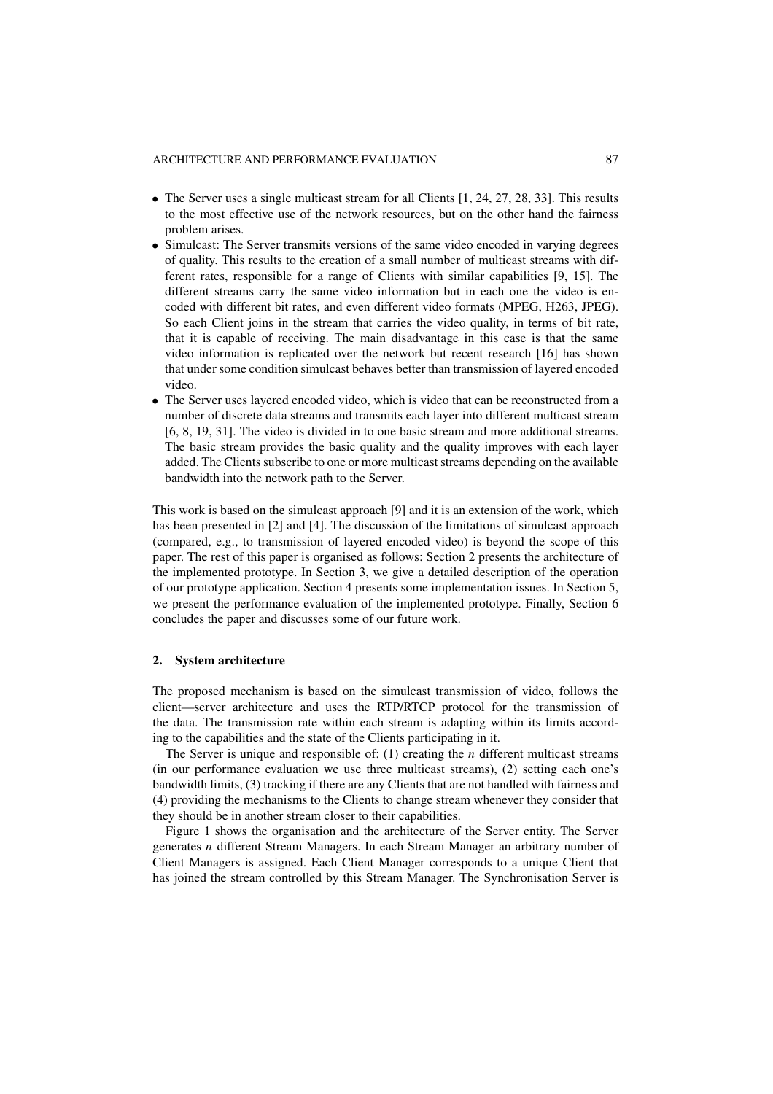#### ARCHITECTURE AND PERFORMANCE EVALUATION 87

- The Server uses a single multicast stream for all Clients [1, 24, 27, 28, 33]. This results to the most effective use of the network resources, but on the other hand the fairness problem arises.
- Simulcast: The Server transmits versions of the same video encoded in varying degrees of quality. This results to the creation of a small number of multicast streams with different rates, responsible for a range of Clients with similar capabilities [9, 15]. The different streams carry the same video information but in each one the video is encoded with different bit rates, and even different video formats (MPEG, H263, JPEG). So each Client joins in the stream that carries the video quality, in terms of bit rate, that it is capable of receiving. The main disadvantage in this case is that the same video information is replicated over the network but recent research [16] has shown that under some condition simulcast behaves better than transmission of layered encoded video.
- The Server uses layered encoded video, which is video that can be reconstructed from a number of discrete data streams and transmits each layer into different multicast stream [6, 8, 19, 31]. The video is divided in to one basic stream and more additional streams. The basic stream provides the basic quality and the quality improves with each layer added. The Clients subscribe to one or more multicast streams depending on the available bandwidth into the network path to the Server.

This work is based on the simulcast approach [9] and it is an extension of the work, which has been presented in [2] and [4]. The discussion of the limitations of simulcast approach (compared, e.g., to transmission of layered encoded video) is beyond the scope of this paper. The rest of this paper is organised as follows: Section 2 presents the architecture of the implemented prototype. In Section 3, we give a detailed description of the operation of our prototype application. Section 4 presents some implementation issues. In Section 5, we present the performance evaluation of the implemented prototype. Finally, Section 6 concludes the paper and discusses some of our future work.

## **2. System architecture**

The proposed mechanism is based on the simulcast transmission of video, follows the client—server architecture and uses the RTP/RTCP protocol for the transmission of the data. The transmission rate within each stream is adapting within its limits according to the capabilities and the state of the Clients participating in it.

The Server is unique and responsible of: (1) creating the *n* different multicast streams (in our performance evaluation we use three multicast streams), (2) setting each one's bandwidth limits, (3) tracking if there are any Clients that are not handled with fairness and (4) providing the mechanisms to the Clients to change stream whenever they consider that they should be in another stream closer to their capabilities.

Figure 1 shows the organisation and the architecture of the Server entity. The Server generates *n* different Stream Managers. In each Stream Manager an arbitrary number of Client Managers is assigned. Each Client Manager corresponds to a unique Client that has joined the stream controlled by this Stream Manager. The Synchronisation Server is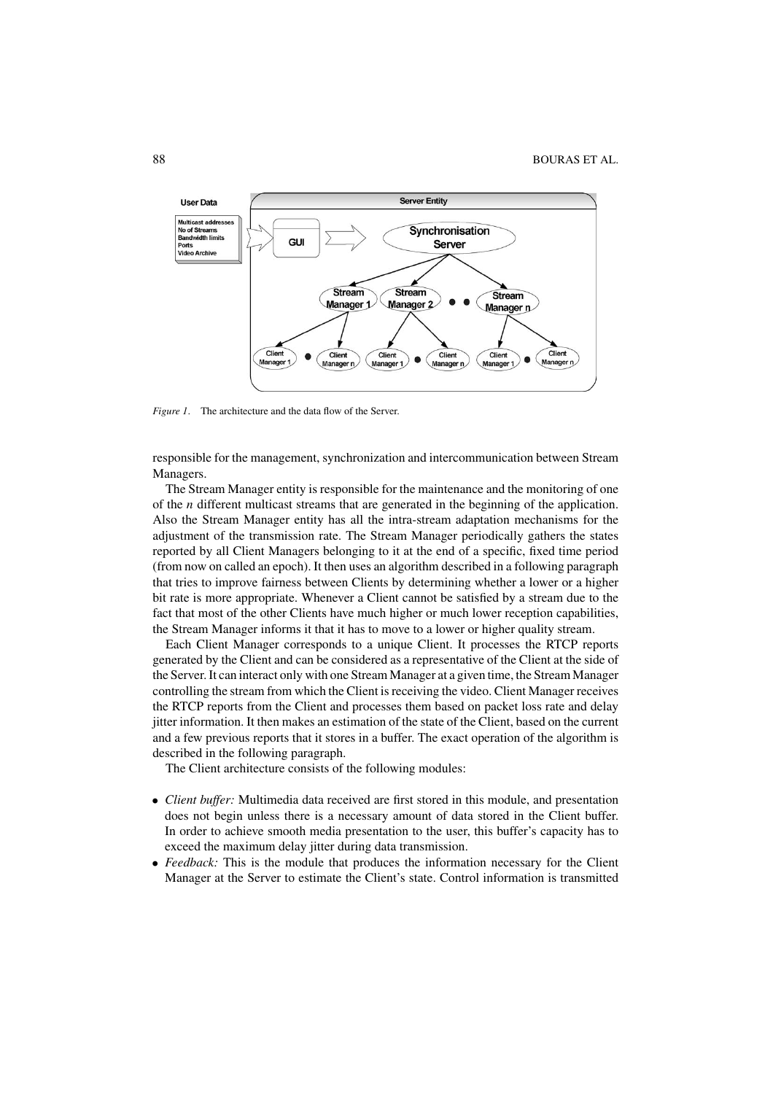

*Figure 1*. The architecture and the data flow of the Server.

responsible for the management, synchronization and intercommunication between Stream Managers.

The Stream Manager entity is responsible for the maintenance and the monitoring of one of the *n* different multicast streams that are generated in the beginning of the application. Also the Stream Manager entity has all the intra-stream adaptation mechanisms for the adjustment of the transmission rate. The Stream Manager periodically gathers the states reported by all Client Managers belonging to it at the end of a specific, fixed time period (from now on called an epoch). It then uses an algorithm described in a following paragraph that tries to improve fairness between Clients by determining whether a lower or a higher bit rate is more appropriate. Whenever a Client cannot be satisfied by a stream due to the fact that most of the other Clients have much higher or much lower reception capabilities, the Stream Manager informs it that it has to move to a lower or higher quality stream.

Each Client Manager corresponds to a unique Client. It processes the RTCP reports generated by the Client and can be considered as a representative of the Client at the side of the Server. It can interact only with one Stream Manager at a given time, the Stream Manager controlling the stream from which the Client is receiving the video. Client Manager receives the RTCP reports from the Client and processes them based on packet loss rate and delay jitter information. It then makes an estimation of the state of the Client, based on the current and a few previous reports that it stores in a buffer. The exact operation of the algorithm is described in the following paragraph.

The Client architecture consists of the following modules:

- *Client buffer:* Multimedia data received are first stored in this module, and presentation does not begin unless there is a necessary amount of data stored in the Client buffer. In order to achieve smooth media presentation to the user, this buffer's capacity has to exceed the maximum delay jitter during data transmission.
- *Feedback:* This is the module that produces the information necessary for the Client Manager at the Server to estimate the Client's state. Control information is transmitted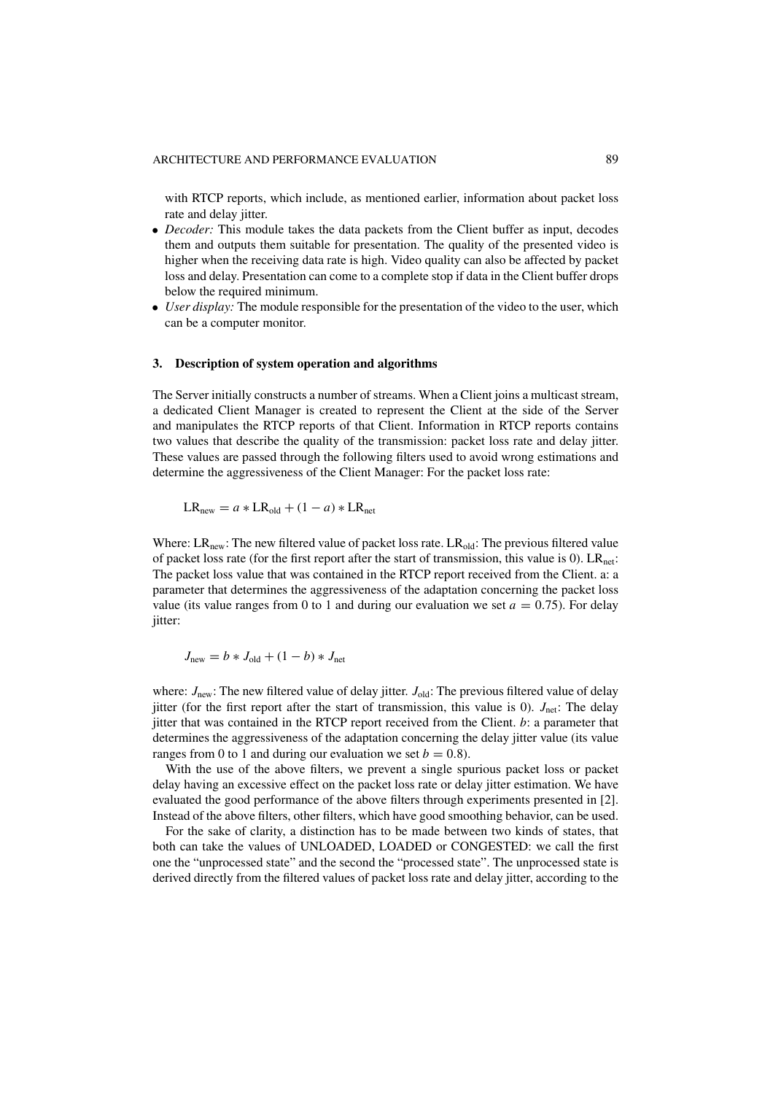with RTCP reports, which include, as mentioned earlier, information about packet loss rate and delay jitter.

- *Decoder:* This module takes the data packets from the Client buffer as input, decodes them and outputs them suitable for presentation. The quality of the presented video is higher when the receiving data rate is high. Video quality can also be affected by packet loss and delay. Presentation can come to a complete stop if data in the Client buffer drops below the required minimum.
- *User display:* The module responsible for the presentation of the video to the user, which can be a computer monitor.

## **3. Description of system operation and algorithms**

The Server initially constructs a number of streams. When a Client joins a multicast stream, a dedicated Client Manager is created to represent the Client at the side of the Server and manipulates the RTCP reports of that Client. Information in RTCP reports contains two values that describe the quality of the transmission: packet loss rate and delay jitter. These values are passed through the following filters used to avoid wrong estimations and determine the aggressiveness of the Client Manager: For the packet loss rate:

$$
LRnew = a * LRold + (1 - a) * LRnet
$$

Where:  $LR_{\text{new}}$ : The new filtered value of packet loss rate.  $LR_{old}$ : The previous filtered value of packet loss rate (for the first report after the start of transmission, this value is  $0$ ).  $LR<sub>net</sub>$ : The packet loss value that was contained in the RTCP report received from the Client. a: a parameter that determines the aggressiveness of the adaptation concerning the packet loss value (its value ranges from 0 to 1 and during our evaluation we set  $a = 0.75$ ). For delay jitter:

$$
J_{\text{new}} = b * J_{\text{old}} + (1 - b) * J_{\text{net}}
$$

where:  $J_{\text{new}}$ : The new filtered value of delay jitter.  $J_{\text{old}}$ : The previous filtered value of delay jitter (for the first report after the start of transmission, this value is 0).  $J_{\text{net}}$ : The delay jitter that was contained in the RTCP report received from the Client. *b*: a parameter that determines the aggressiveness of the adaptation concerning the delay jitter value (its value ranges from 0 to 1 and during our evaluation we set  $b = 0.8$ ).

With the use of the above filters, we prevent a single spurious packet loss or packet delay having an excessive effect on the packet loss rate or delay jitter estimation. We have evaluated the good performance of the above filters through experiments presented in [2]. Instead of the above filters, other filters, which have good smoothing behavior, can be used.

For the sake of clarity, a distinction has to be made between two kinds of states, that both can take the values of UNLOADED, LOADED or CONGESTED: we call the first one the "unprocessed state" and the second the "processed state". The unprocessed state is derived directly from the filtered values of packet loss rate and delay jitter, according to the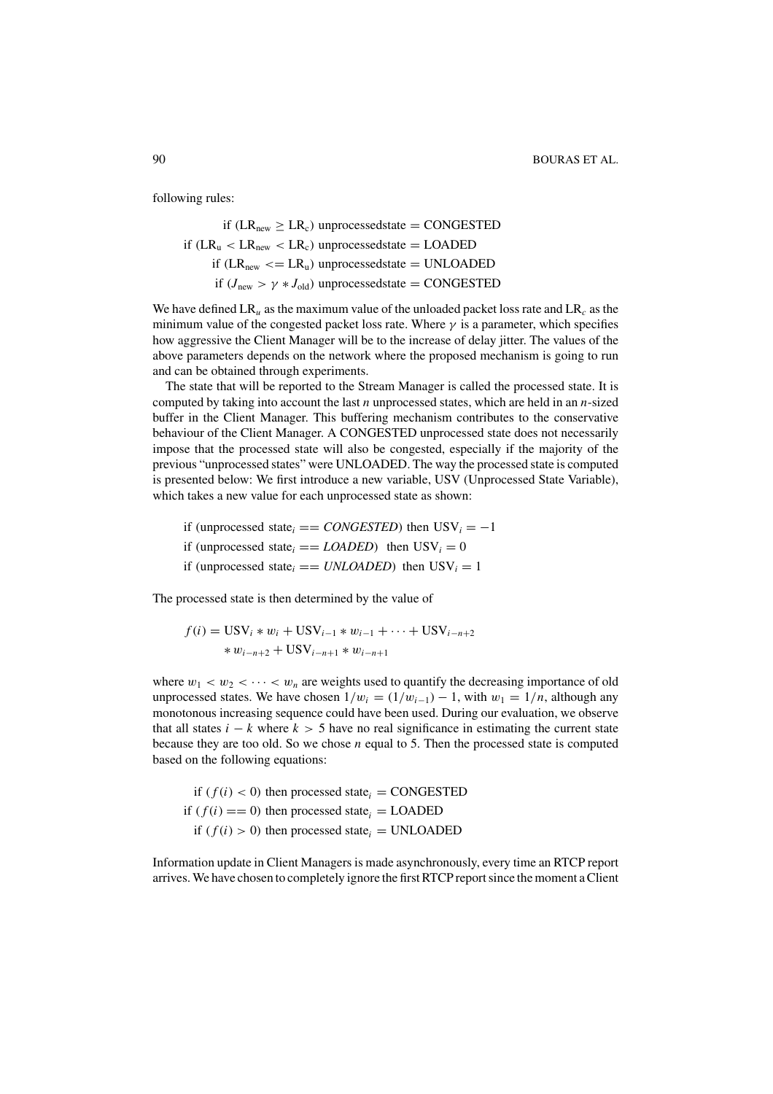following rules:

if  $(LR<sub>new</sub> > LR<sub>c</sub>)$  unprocessedstate = CONGESTED if  $(LR_u < LR_{\text{new}} < LR_c)$  unprocessedstate = LOADED if  $(LR_{new} \leq LR_u)$  unprocessedstate = UNLOADED if  $(J_{\text{new}} > \gamma * J_{\text{old}})$  unprocessedstate = CONGESTED

We have defined  $LR_u$  as the maximum value of the unloaded packet loss rate and  $LR_c$  as the minimum value of the congested packet loss rate. Where  $\nu$  is a parameter, which specifies how aggressive the Client Manager will be to the increase of delay jitter. The values of the above parameters depends on the network where the proposed mechanism is going to run and can be obtained through experiments.

The state that will be reported to the Stream Manager is called the processed state. It is computed by taking into account the last *n* unprocessed states, which are held in an *n*-sized buffer in the Client Manager. This buffering mechanism contributes to the conservative behaviour of the Client Manager. A CONGESTED unprocessed state does not necessarily impose that the processed state will also be congested, especially if the majority of the previous "unprocessed states" were UNLOADED. The way the processed state is computed is presented below: We first introduce a new variable, USV (Unprocessed State Variable), which takes a new value for each unprocessed state as shown:

if (unprocessed state<sub>i</sub> == *CONGESTED*) then  $USV_i = -1$ if (unprocessed state<sub>*i*</sub> =  $LOADED$ ) then  $USV_i = 0$ if (unprocessed state<sub>i</sub> == *UNLOADED*) then  $USV_i = 1$ 

The processed state is then determined by the value of

$$
f(i) = USV_i * w_i + USV_{i-1} * w_{i-1} + \dots + USV_{i-n+2}
$$
  
\*  $w_{i-n+2} + USV_{i-n+1} * w_{i-n+1}$ 

where  $w_1 < w_2 < \cdots < w_n$  are weights used to quantify the decreasing importance of old unprocessed states. We have chosen  $1/w_i = (1/w_{i-1}) - 1$ , with  $w_1 = 1/n$ , although any monotonous increasing sequence could have been used. During our evaluation, we observe that all states  $i - k$  where  $k > 5$  have no real significance in estimating the current state because they are too old. So we chose *n* equal to 5. Then the processed state is computed based on the following equations:

if 
$$
(f(i) < 0)
$$
 then processed state<sub>i</sub> = CONGESTED  
if  $(f(i) == 0)$  then processed state<sub>i</sub> = LOADED  
if  $(f(i) > 0)$  then processed state<sub>i</sub> = UNLOADED

Information update in Client Managers is made asynchronously, every time an RTCP report arrives. We have chosen to completely ignore the first RTCP report since the moment a Client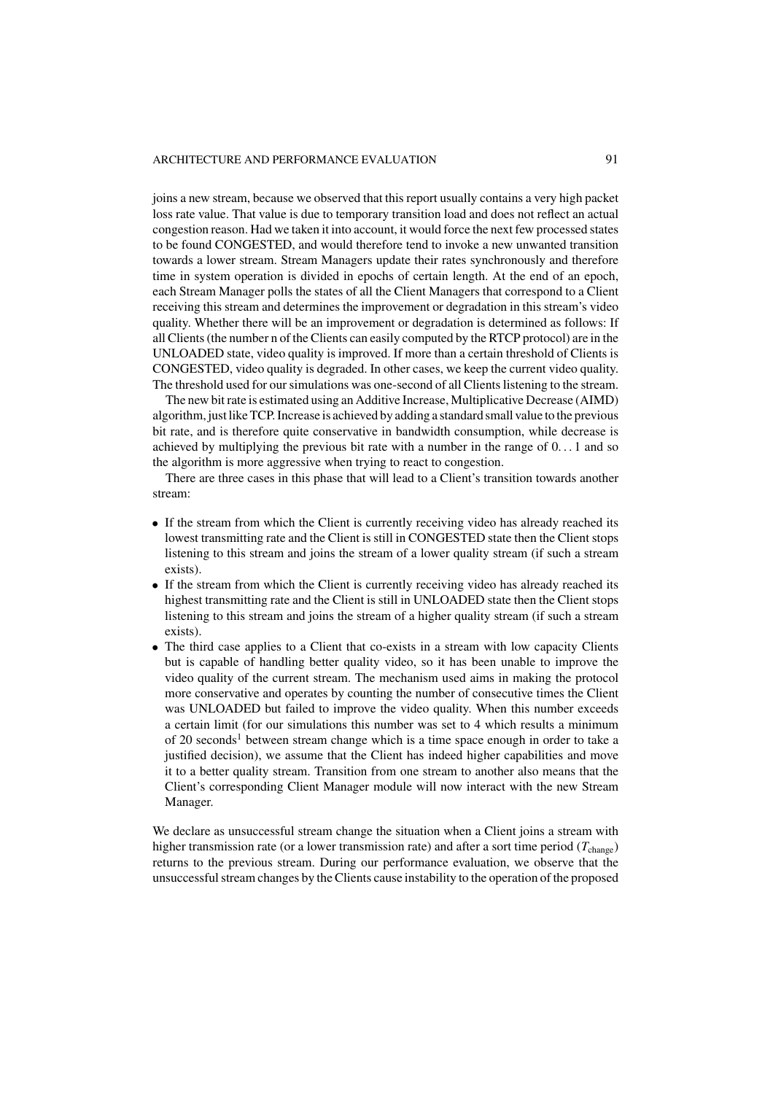joins a new stream, because we observed that this report usually contains a very high packet loss rate value. That value is due to temporary transition load and does not reflect an actual congestion reason. Had we taken it into account, it would force the next few processed states to be found CONGESTED, and would therefore tend to invoke a new unwanted transition towards a lower stream. Stream Managers update their rates synchronously and therefore time in system operation is divided in epochs of certain length. At the end of an epoch, each Stream Manager polls the states of all the Client Managers that correspond to a Client receiving this stream and determines the improvement or degradation in this stream's video quality. Whether there will be an improvement or degradation is determined as follows: If all Clients (the number n of the Clients can easily computed by the RTCP protocol) are in the UNLOADED state, video quality is improved. If more than a certain threshold of Clients is CONGESTED, video quality is degraded. In other cases, we keep the current video quality. The threshold used for our simulations was one-second of all Clients listening to the stream.

The new bit rate is estimated using an Additive Increase, Multiplicative Decrease (AIMD) algorithm, just like TCP. Increase is achieved by adding a standard small value to the previous bit rate, and is therefore quite conservative in bandwidth consumption, while decrease is achieved by multiplying the previous bit rate with a number in the range of 0. . . 1 and so the algorithm is more aggressive when trying to react to congestion.

There are three cases in this phase that will lead to a Client's transition towards another stream:

- If the stream from which the Client is currently receiving video has already reached its lowest transmitting rate and the Client is still in CONGESTED state then the Client stops listening to this stream and joins the stream of a lower quality stream (if such a stream exists).
- If the stream from which the Client is currently receiving video has already reached its highest transmitting rate and the Client is still in UNLOADED state then the Client stops listening to this stream and joins the stream of a higher quality stream (if such a stream exists).
- The third case applies to a Client that co-exists in a stream with low capacity Clients but is capable of handling better quality video, so it has been unable to improve the video quality of the current stream. The mechanism used aims in making the protocol more conservative and operates by counting the number of consecutive times the Client was UNLOADED but failed to improve the video quality. When this number exceeds a certain limit (for our simulations this number was set to 4 which results a minimum of 20 seconds<sup>1</sup> between stream change which is a time space enough in order to take a justified decision), we assume that the Client has indeed higher capabilities and move it to a better quality stream. Transition from one stream to another also means that the Client's corresponding Client Manager module will now interact with the new Stream Manager.

We declare as unsuccessful stream change the situation when a Client joins a stream with higher transmission rate (or a lower transmission rate) and after a sort time period ( $T_{change}$ ) returns to the previous stream. During our performance evaluation, we observe that the unsuccessful stream changes by the Clients cause instability to the operation of the proposed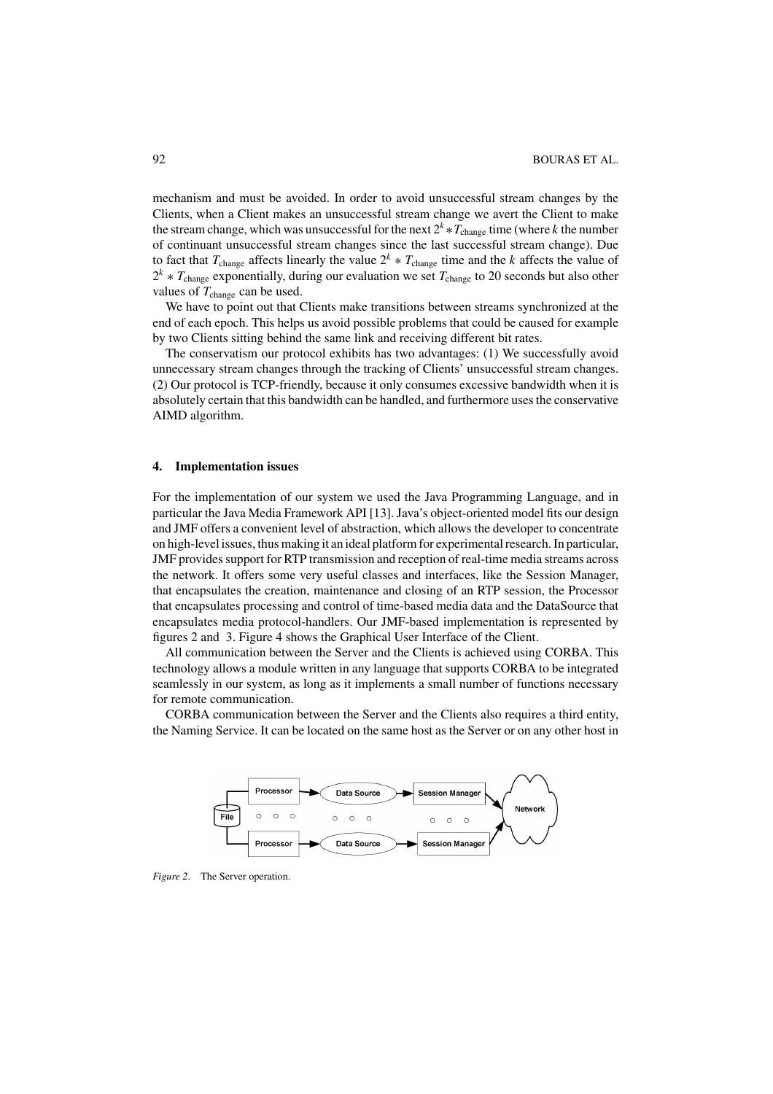mechanism and must be avoided. In order to avoid unsuccessful stream changes by the Clients, when a Client makes an unsuccessful stream change we avert the Client to make the stream change, which was unsuccessful for the next  $2^k * T_{change}$  time (where *k* the number of continuant unsuccessful stream changes since the last successful stream change). Due to fact that  $T_{change}$  affects linearly the value  $2^k * T_{change}$  time and the *k* affects the value of  $2^k * T_{change}$  exponentially, during our evaluation we set  $T_{change}$  to 20 seconds but also other values of  $T_{change}$  can be used.

We have to point out that Clients make transitions between streams synchronized at the end of each epoch. This helps us avoid possible problems that could be caused for example by two Clients sitting behind the same link and receiving different bit rates.

The conservatism our protocol exhibits has two advantages: (1) We successfully avoid unnecessary stream changes through the tracking of Clients' unsuccessful stream changes. (2) Our protocol is TCP-friendly, because it only consumes excessive bandwidth when it is absolutely certain that this bandwidth can be handled, and furthermore uses the conservative AIMD algorithm.

## **4. Implementation issues**

For the implementation of our system we used the Java Programming Language, and in particular the Java Media Framework API [13]. Java's object-oriented model fits our design and JMF offers a convenient level of abstraction, which allows the developer to concentrate on high-level issues, thus making it an ideal platform for experimental research. In particular, JMF provides support for RTP transmission and reception of real-time media streams across the network. It offers some very useful classes and interfaces, like the Session Manager, that encapsulates the creation, maintenance and closing of an RTP session, the Processor that encapsulates processing and control of time-based media data and the DataSource that encapsulates media protocol-handlers. Our JMF-based implementation is represented by figures 2 and 3. Figure 4 shows the Graphical User Interface of the Client.

All communication between the Server and the Clients is achieved using CORBA. This technology allows a module written in any language that supports CORBA to be integrated seamlessly in our system, as long as it implements a small number of functions necessary for remote communication.

CORBA communication between the Server and the Clients also requires a third entity, the Naming Service. It can be located on the same host as the Server or on any other host in



*Figure 2*. The Server operation.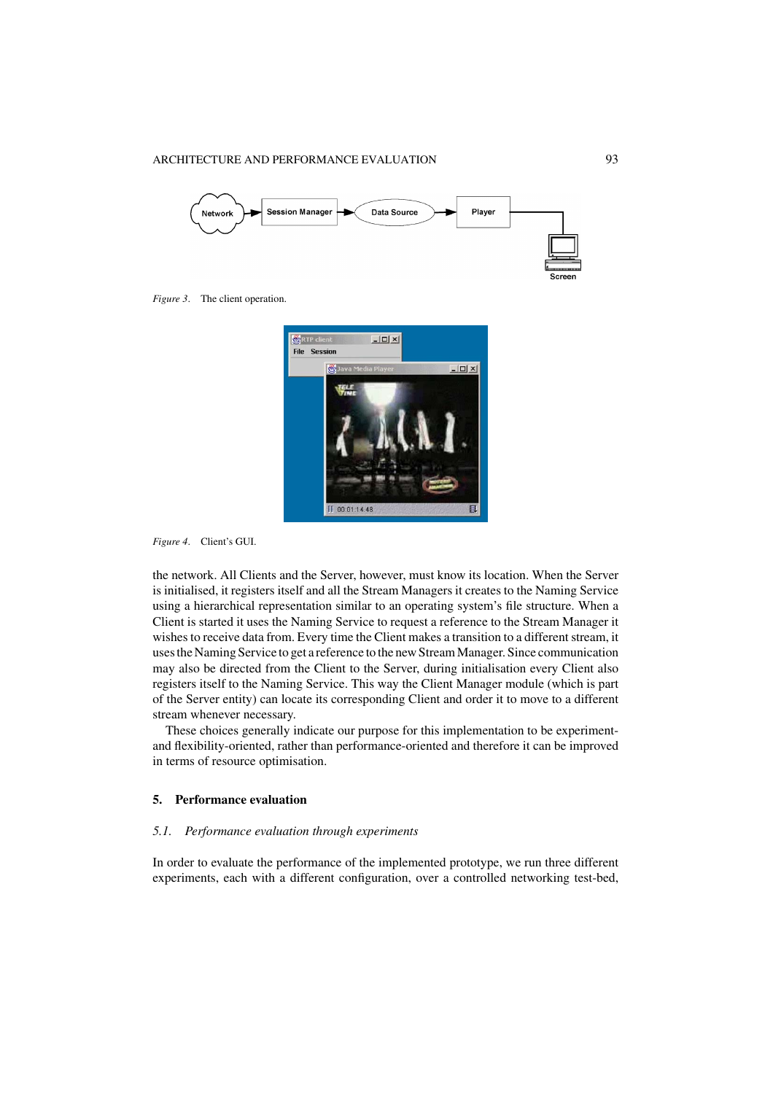

#### *Figure 3*. The client operation.



*Figure 4*. Client's GUI.

the network. All Clients and the Server, however, must know its location. When the Server is initialised, it registers itself and all the Stream Managers it creates to the Naming Service using a hierarchical representation similar to an operating system's file structure. When a Client is started it uses the Naming Service to request a reference to the Stream Manager it wishes to receive data from. Every time the Client makes a transition to a different stream, it uses the Naming Service to get a reference to the new Stream Manager. Since communication may also be directed from the Client to the Server, during initialisation every Client also registers itself to the Naming Service. This way the Client Manager module (which is part of the Server entity) can locate its corresponding Client and order it to move to a different stream whenever necessary.

These choices generally indicate our purpose for this implementation to be experimentand flexibility-oriented, rather than performance-oriented and therefore it can be improved in terms of resource optimisation.

## **5. Performance evaluation**

## *5.1. Performance evaluation through experiments*

In order to evaluate the performance of the implemented prototype, we run three different experiments, each with a different configuration, over a controlled networking test-bed,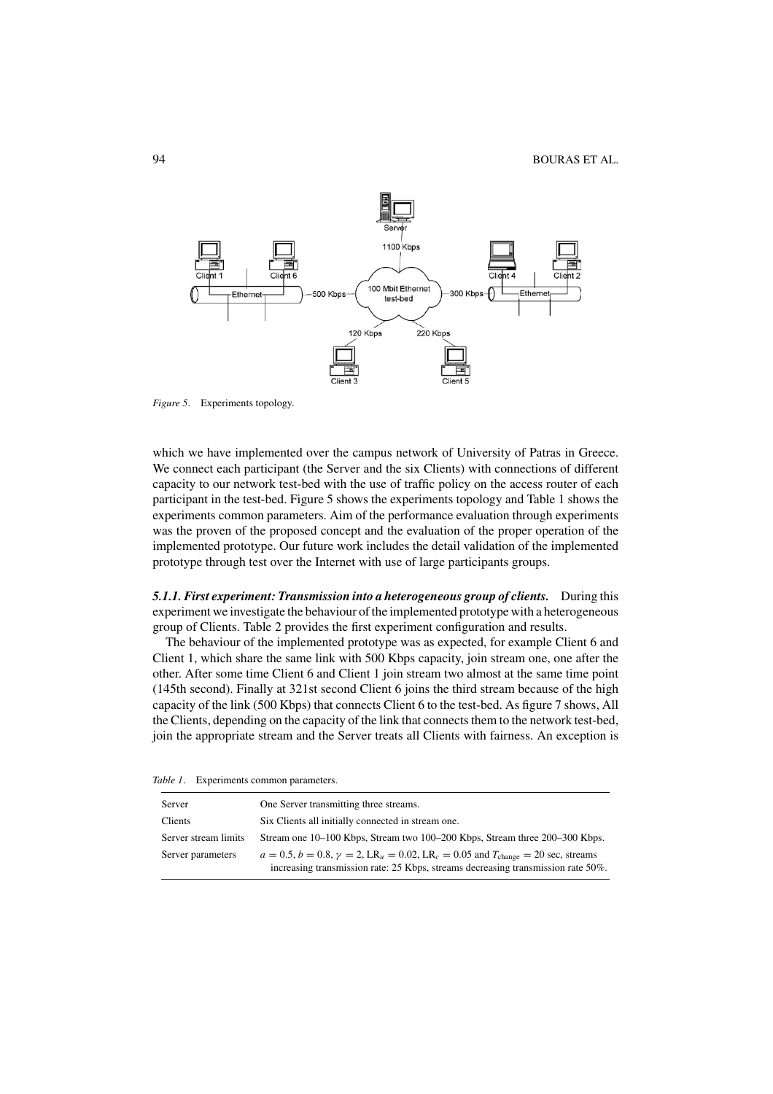

*Figure 5*. Experiments topology.

which we have implemented over the campus network of University of Patras in Greece. We connect each participant (the Server and the six Clients) with connections of different capacity to our network test-bed with the use of traffic policy on the access router of each participant in the test-bed. Figure 5 shows the experiments topology and Table 1 shows the experiments common parameters. Aim of the performance evaluation through experiments was the proven of the proposed concept and the evaluation of the proper operation of the implemented prototype. Our future work includes the detail validation of the implemented prototype through test over the Internet with use of large participants groups.

*5.1.1. First experiment: Transmission into a heterogeneous group of clients.* During this experiment we investigate the behaviour of the implemented prototype with a heterogeneous group of Clients. Table 2 provides the first experiment configuration and results.

The behaviour of the implemented prototype was as expected, for example Client 6 and Client 1, which share the same link with 500 Kbps capacity, join stream one, one after the other. After some time Client 6 and Client 1 join stream two almost at the same time point (145th second). Finally at 321st second Client 6 joins the third stream because of the high capacity of the link (500 Kbps) that connects Client 6 to the test-bed. As figure 7 shows, All the Clients, depending on the capacity of the link that connects them to the network test-bed, join the appropriate stream and the Server treats all Clients with fairness. An exception is

*Table 1*. Experiments common parameters.

| Server               | One Server transmitting three streams.                                                                                                                                                                       |
|----------------------|--------------------------------------------------------------------------------------------------------------------------------------------------------------------------------------------------------------|
| Clients              | Six Clients all initially connected in stream one.                                                                                                                                                           |
| Server stream limits | Stream one 10–100 Kbps, Stream two 100–200 Kbps, Stream three 200–300 Kbps.                                                                                                                                  |
| Server parameters    | $a = 0.5$ , $b = 0.8$ , $\gamma = 2$ , LR <sub>u</sub> = 0.02, LR <sub>c</sub> = 0.05 and $T_{change} = 20$ sec, streams<br>increasing transmission rate: 25 Kbps, streams decreasing transmission rate 50%. |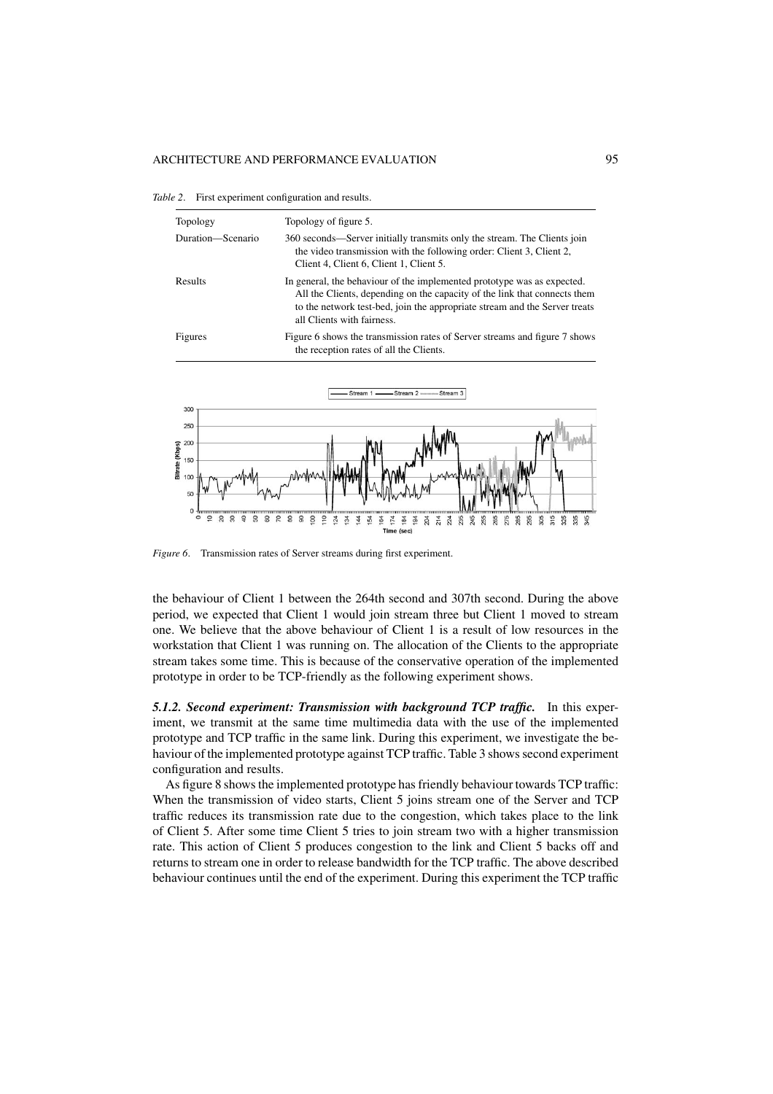*Table 2*. First experiment configuration and results.

| Topology          | Topology of figure 5.                                                                                                                                                                                                                                            |
|-------------------|------------------------------------------------------------------------------------------------------------------------------------------------------------------------------------------------------------------------------------------------------------------|
| Duration—Scenario | 360 seconds—Server initially transmits only the stream. The Clients join<br>the video transmission with the following order: Client 3, Client 2,<br>Client 4, Client 6, Client 1, Client 5.                                                                      |
| Results           | In general, the behaviour of the implemented prototype was as expected.<br>All the Clients, depending on the capacity of the link that connects them<br>to the network test-bed, join the appropriate stream and the Server treats<br>all Clients with fairness. |
| Figures           | Figure 6 shows the transmission rates of Server streams and figure 7 shows<br>the reception rates of all the Clients.                                                                                                                                            |



*Figure 6*. Transmission rates of Server streams during first experiment.

the behaviour of Client 1 between the 264th second and 307th second. During the above period, we expected that Client 1 would join stream three but Client 1 moved to stream one. We believe that the above behaviour of Client 1 is a result of low resources in the workstation that Client 1 was running on. The allocation of the Clients to the appropriate stream takes some time. This is because of the conservative operation of the implemented prototype in order to be TCP-friendly as the following experiment shows.

*5.1.2. Second experiment: Transmission with background TCP traffic.* In this experiment, we transmit at the same time multimedia data with the use of the implemented prototype and TCP traffic in the same link. During this experiment, we investigate the behaviour of the implemented prototype against TCP traffic. Table 3 shows second experiment configuration and results.

As figure 8 shows the implemented prototype has friendly behaviour towards TCP traffic: When the transmission of video starts, Client 5 joins stream one of the Server and TCP traffic reduces its transmission rate due to the congestion, which takes place to the link of Client 5. After some time Client 5 tries to join stream two with a higher transmission rate. This action of Client 5 produces congestion to the link and Client 5 backs off and returns to stream one in order to release bandwidth for the TCP traffic. The above described behaviour continues until the end of the experiment. During this experiment the TCP traffic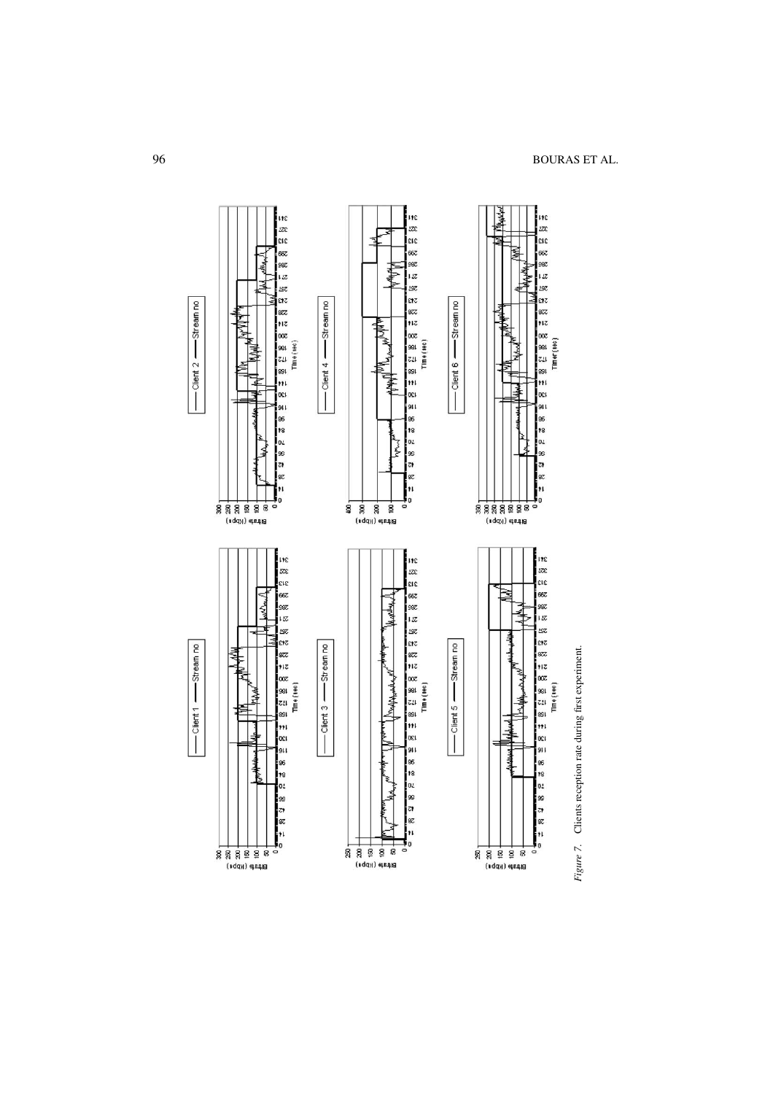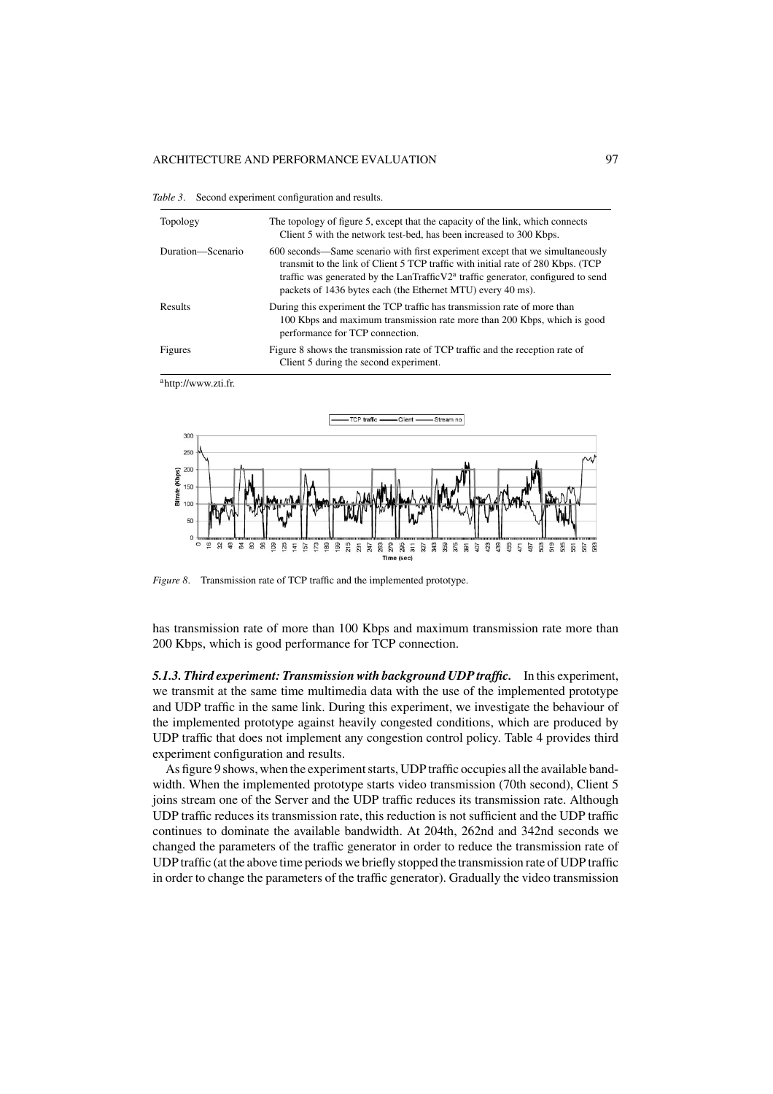*Table 3*. Second experiment configuration and results.

| Topology          | The topology of figure 5, except that the capacity of the link, which connects<br>Client 5 with the network test-bed, has been increased to 300 Kbps.                                                                                                                                                                     |
|-------------------|---------------------------------------------------------------------------------------------------------------------------------------------------------------------------------------------------------------------------------------------------------------------------------------------------------------------------|
| Duration—Scenario | 600 seconds—Same scenario with first experiment except that we simultaneously<br>transmit to the link of Client 5 TCP traffic with initial rate of 280 Kbps. (TCP)<br>traffic was generated by the LanTraffic $V2^a$ traffic generator, configured to send<br>packets of 1436 bytes each (the Ethernet MTU) every 40 ms). |
| Results           | During this experiment the TCP traffic has transmission rate of more than<br>100 Kbps and maximum transmission rate more than 200 Kbps, which is good<br>performance for TCP connection.                                                                                                                                  |
| Figures           | Figure 8 shows the transmission rate of TCP traffic and the reception rate of<br>Client 5 during the second experiment.                                                                                                                                                                                                   |

ahttp://www.zti.fr.



*Figure 8.* Transmission rate of TCP traffic and the implemented prototype.

has transmission rate of more than 100 Kbps and maximum transmission rate more than 200 Kbps, which is good performance for TCP connection.

*5.1.3. Third experiment: Transmission with background UDP traffic.* In this experiment, we transmit at the same time multimedia data with the use of the implemented prototype and UDP traffic in the same link. During this experiment, we investigate the behaviour of the implemented prototype against heavily congested conditions, which are produced by UDP traffic that does not implement any congestion control policy. Table 4 provides third experiment configuration and results.

As figure 9 shows, when the experiment starts, UDP traffic occupies all the available bandwidth. When the implemented prototype starts video transmission (70th second), Client 5 joins stream one of the Server and the UDP traffic reduces its transmission rate. Although UDP traffic reduces its transmission rate, this reduction is not sufficient and the UDP traffic continues to dominate the available bandwidth. At 204th, 262nd and 342nd seconds we changed the parameters of the traffic generator in order to reduce the transmission rate of UDP traffic (at the above time periods we briefly stopped the transmission rate of UDP traffic in order to change the parameters of the traffic generator). Gradually the video transmission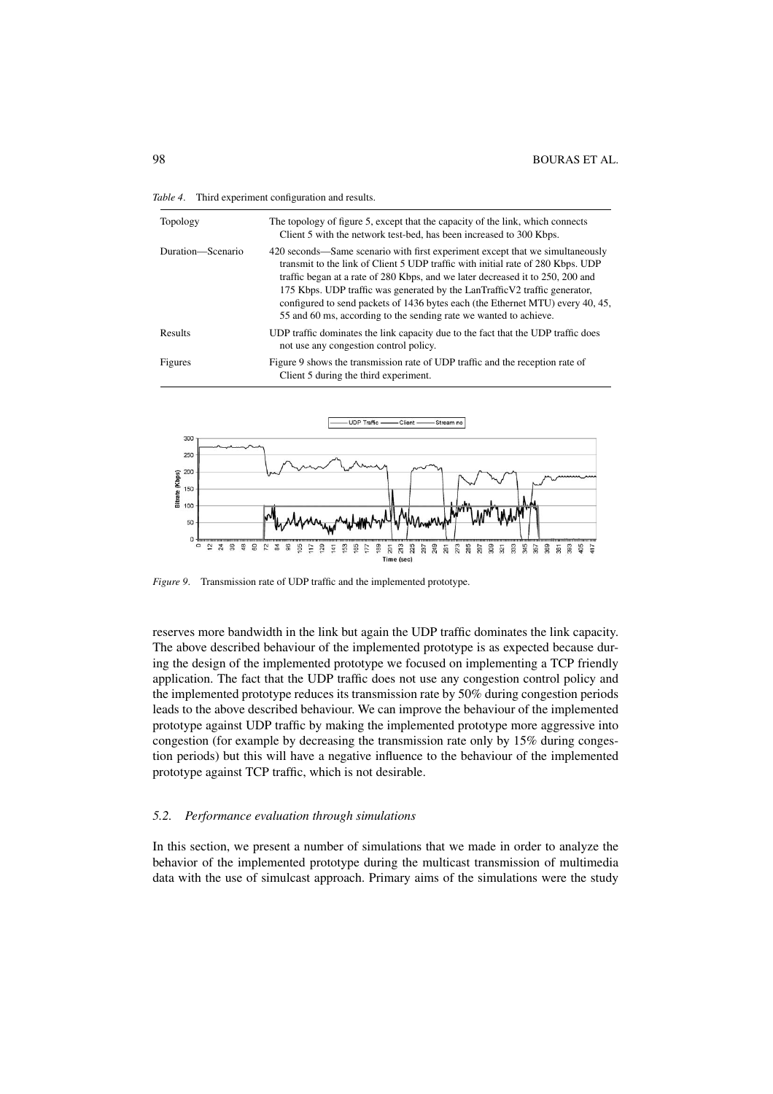*Table 4*. Third experiment configuration and results.

| The topology of figure 5, except that the capacity of the link, which connects<br>Client 5 with the network test-bed, has been increased to 300 Kbps.                                                                                                                                                                                                                                                                                                                                   |
|-----------------------------------------------------------------------------------------------------------------------------------------------------------------------------------------------------------------------------------------------------------------------------------------------------------------------------------------------------------------------------------------------------------------------------------------------------------------------------------------|
| 420 seconds—Same scenario with first experiment except that we simultaneously<br>transmit to the link of Client 5 UDP traffic with initial rate of 280 Kbps. UDP<br>traffic began at a rate of 280 Kbps, and we later decreased it to 250, 200 and<br>175 Kbps. UDP traffic was generated by the LanTrafficV2 traffic generator,<br>configured to send packets of 1436 bytes each (the Ethernet MTU) every 40, 45,<br>55 and 60 ms, according to the sending rate we wanted to achieve. |
| UDP traffic dominates the link capacity due to the fact that the UDP traffic does<br>not use any congestion control policy.                                                                                                                                                                                                                                                                                                                                                             |
| Figure 9 shows the transmission rate of UDP traffic and the reception rate of<br>Client 5 during the third experiment.                                                                                                                                                                                                                                                                                                                                                                  |
|                                                                                                                                                                                                                                                                                                                                                                                                                                                                                         |



*Figure 9*. Transmission rate of UDP traffic and the implemented prototype.

reserves more bandwidth in the link but again the UDP traffic dominates the link capacity. The above described behaviour of the implemented prototype is as expected because during the design of the implemented prototype we focused on implementing a TCP friendly application. The fact that the UDP traffic does not use any congestion control policy and the implemented prototype reduces its transmission rate by 50% during congestion periods leads to the above described behaviour. We can improve the behaviour of the implemented prototype against UDP traffic by making the implemented prototype more aggressive into congestion (for example by decreasing the transmission rate only by 15% during congestion periods) but this will have a negative influence to the behaviour of the implemented prototype against TCP traffic, which is not desirable.

## *5.2. Performance evaluation through simulations*

In this section, we present a number of simulations that we made in order to analyze the behavior of the implemented prototype during the multicast transmission of multimedia data with the use of simulcast approach. Primary aims of the simulations were the study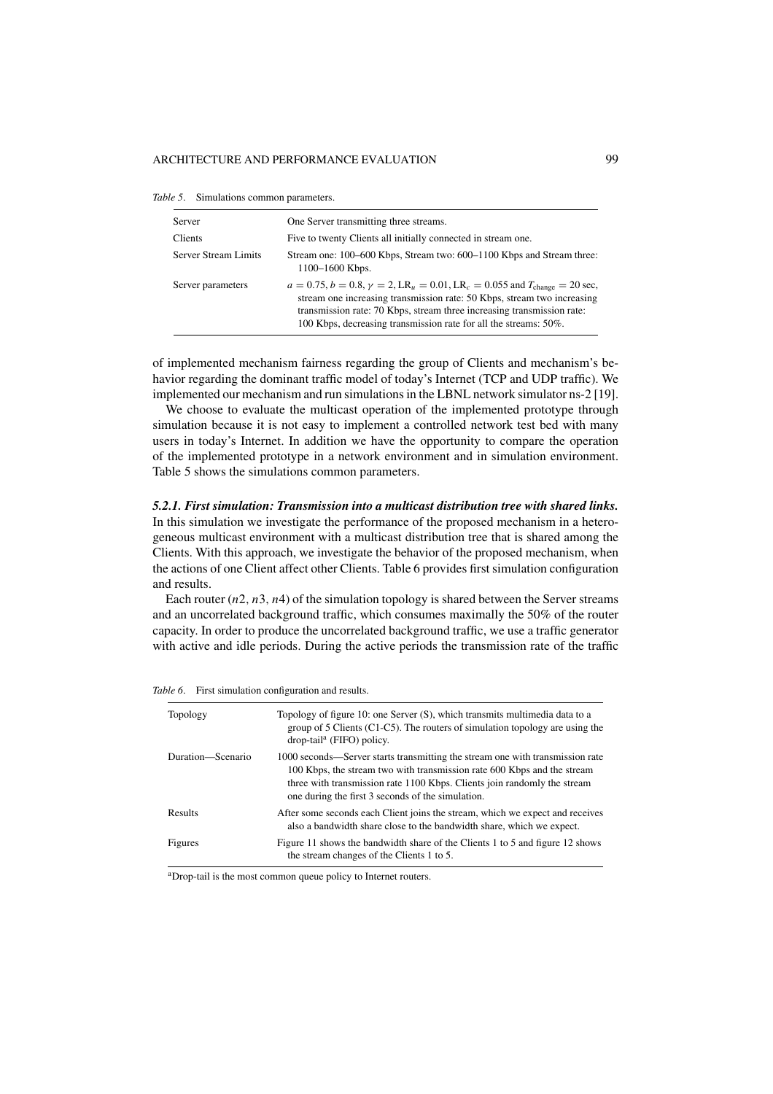| Server               | One Server transmitting three streams.                                                                                                                                                                                                                                                                                                      |
|----------------------|---------------------------------------------------------------------------------------------------------------------------------------------------------------------------------------------------------------------------------------------------------------------------------------------------------------------------------------------|
| <b>Clients</b>       | Five to twenty Clients all initially connected in stream one.                                                                                                                                                                                                                                                                               |
| Server Stream Limits | Stream one: 100–600 Kbps, Stream two: 600–1100 Kbps and Stream three:<br>1100-1600 Kbps.                                                                                                                                                                                                                                                    |
| Server parameters    | $a = 0.75$ , $b = 0.8$ , $\gamma = 2$ , LR <sub>u</sub> = 0.01, LR <sub>c</sub> = 0.055 and $T_{change} = 20$ sec,<br>stream one increasing transmission rate: 50 Kbps, stream two increasing<br>transmission rate: 70 Kbps, stream three increasing transmission rate:<br>100 Kbps, decreasing transmission rate for all the streams: 50%. |

of implemented mechanism fairness regarding the group of Clients and mechanism's behavior regarding the dominant traffic model of today's Internet (TCP and UDP traffic). We implemented our mechanism and run simulations in the LBNL network simulator ns-2 [19].

We choose to evaluate the multicast operation of the implemented prototype through simulation because it is not easy to implement a controlled network test bed with many users in today's Internet. In addition we have the opportunity to compare the operation of the implemented prototype in a network environment and in simulation environment. Table 5 shows the simulations common parameters.

## *5.2.1. First simulation: Transmission into a multicast distribution tree with shared links.* In this simulation we investigate the performance of the proposed mechanism in a heterogeneous multicast environment with a multicast distribution tree that is shared among the Clients. With this approach, we investigate the behavior of the proposed mechanism, when the actions of one Client affect other Clients. Table 6 provides first simulation configuration and results.

Each router  $(n2, n3, n4)$  of the simulation topology is shared between the Server streams and an uncorrelated background traffic, which consumes maximally the 50% of the router capacity. In order to produce the uncorrelated background traffic, we use a traffic generator with active and idle periods. During the active periods the transmission rate of the traffic

| Topology          | Topology of figure 10: one Server (S), which transmits multimedia data to a<br>group of 5 Clients (C1-C5). The routers of simulation topology are using the<br>drop-tail <sup>a</sup> (FIFO) policy.                                                                                      |
|-------------------|-------------------------------------------------------------------------------------------------------------------------------------------------------------------------------------------------------------------------------------------------------------------------------------------|
| Duration—Scenario | 1000 seconds—Server starts transmitting the stream one with transmission rate<br>100 Kbps, the stream two with transmission rate 600 Kbps and the stream<br>three with transmission rate 1100 Kbps. Clients join randomly the stream<br>one during the first 3 seconds of the simulation. |
| Results           | After some seconds each Client joins the stream, which we expect and receives<br>also a bandwidth share close to the bandwidth share, which we expect.                                                                                                                                    |
| Figures           | Figure 11 shows the bandwidth share of the Clients 1 to 5 and figure 12 shows<br>the stream changes of the Clients 1 to 5.                                                                                                                                                                |

*Table 6*. First simulation configuration and results.

aDrop-tail is the most common queue policy to Internet routers.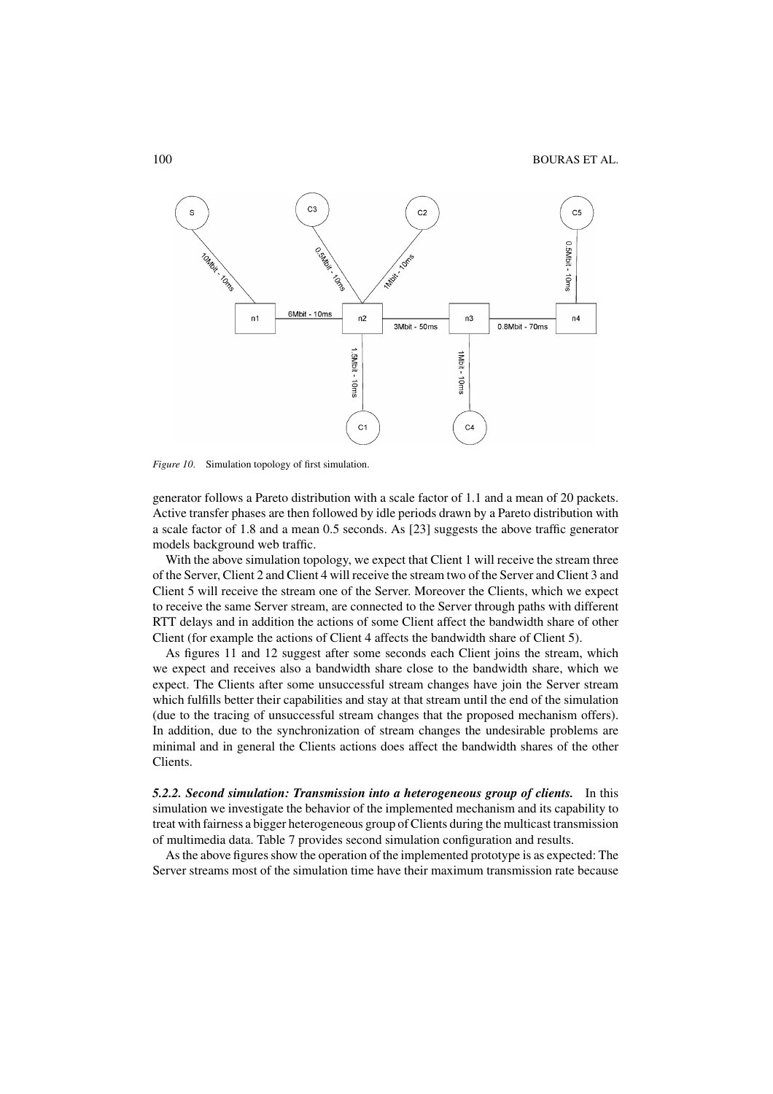

*Figure 10*. Simulation topology of first simulation.

generator follows a Pareto distribution with a scale factor of 1.1 and a mean of 20 packets. Active transfer phases are then followed by idle periods drawn by a Pareto distribution with a scale factor of 1.8 and a mean 0.5 seconds. As [23] suggests the above traffic generator models background web traffic.

With the above simulation topology, we expect that Client 1 will receive the stream three of the Server, Client 2 and Client 4 will receive the stream two of the Server and Client 3 and Client 5 will receive the stream one of the Server. Moreover the Clients, which we expect to receive the same Server stream, are connected to the Server through paths with different RTT delays and in addition the actions of some Client affect the bandwidth share of other Client (for example the actions of Client 4 affects the bandwidth share of Client 5).

As figures 11 and 12 suggest after some seconds each Client joins the stream, which we expect and receives also a bandwidth share close to the bandwidth share, which we expect. The Clients after some unsuccessful stream changes have join the Server stream which fulfills better their capabilities and stay at that stream until the end of the simulation (due to the tracing of unsuccessful stream changes that the proposed mechanism offers). In addition, due to the synchronization of stream changes the undesirable problems are minimal and in general the Clients actions does affect the bandwidth shares of the other Clients.

*5.2.2. Second simulation: Transmission into a heterogeneous group of clients.* In this simulation we investigate the behavior of the implemented mechanism and its capability to treat with fairness a bigger heterogeneous group of Clients during the multicast transmission of multimedia data. Table 7 provides second simulation configuration and results.

As the above figures show the operation of the implemented prototype is as expected: The Server streams most of the simulation time have their maximum transmission rate because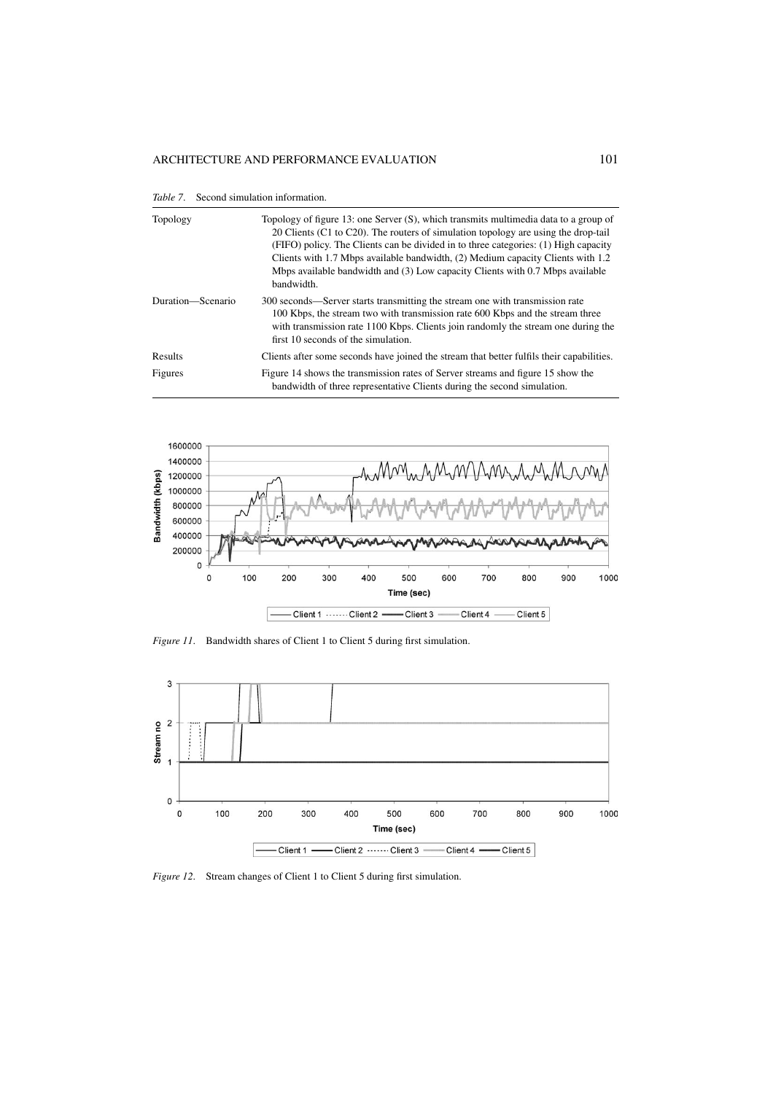# ARCHITECTURE AND PERFORMANCE EVALUATION 101

*Table 7*. Second simulation information.

| Topology          | Topology of figure 13: one Server (S), which transmits multimedia data to a group of<br>20 Clients (C1 to C20). The routers of simulation topology are using the drop-tail<br>(FIFO) policy. The Clients can be divided in to three categories: (1) High capacity<br>Clients with 1.7 Mbps available bandwidth, (2) Medium capacity Clients with 1.2<br>Mbps available bandwidth and (3) Low capacity Clients with 0.7 Mbps available<br>bandwidth. |
|-------------------|-----------------------------------------------------------------------------------------------------------------------------------------------------------------------------------------------------------------------------------------------------------------------------------------------------------------------------------------------------------------------------------------------------------------------------------------------------|
| Duration—Scenario | 300 seconds—Server starts transmitting the stream one with transmission rate<br>100 Kbps, the stream two with transmission rate 600 Kbps and the stream three<br>with transmission rate 1100 Kbps. Clients join randomly the stream one during the<br>first 10 seconds of the simulation.                                                                                                                                                           |
| Results           | Clients after some seconds have joined the stream that better fulfils their capabilities.                                                                                                                                                                                                                                                                                                                                                           |
| Figures           | Figure 14 shows the transmission rates of Server streams and figure 15 show the<br>bandwidth of three representative Clients during the second simulation.                                                                                                                                                                                                                                                                                          |



*Figure 11.* Bandwidth shares of Client 1 to Client 5 during first simulation.



*Figure 12.* Stream changes of Client 1 to Client 5 during first simulation.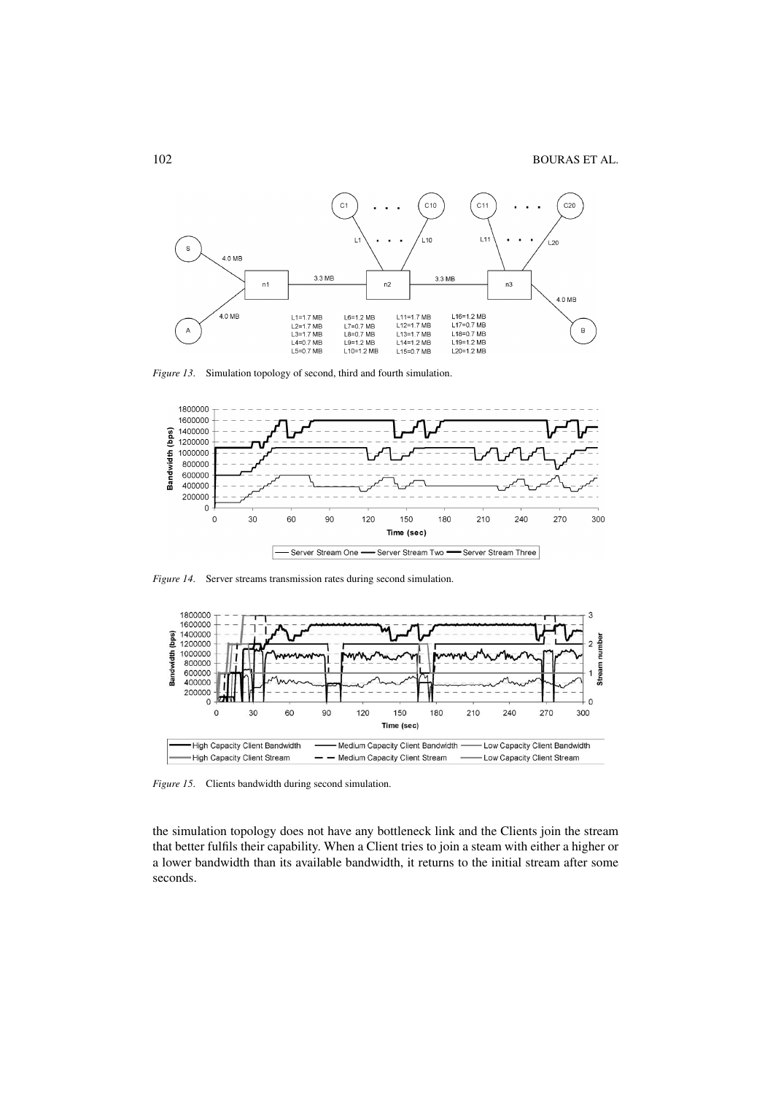

*Figure 13*. Simulation topology of second, third and fourth simulation.



*Figure 14*. Server streams transmission rates during second simulation.



*Figure 15*. Clients bandwidth during second simulation.

the simulation topology does not have any bottleneck link and the Clients join the stream that better fulfils their capability. When a Client tries to join a steam with either a higher or a lower bandwidth than its available bandwidth, it returns to the initial stream after some seconds.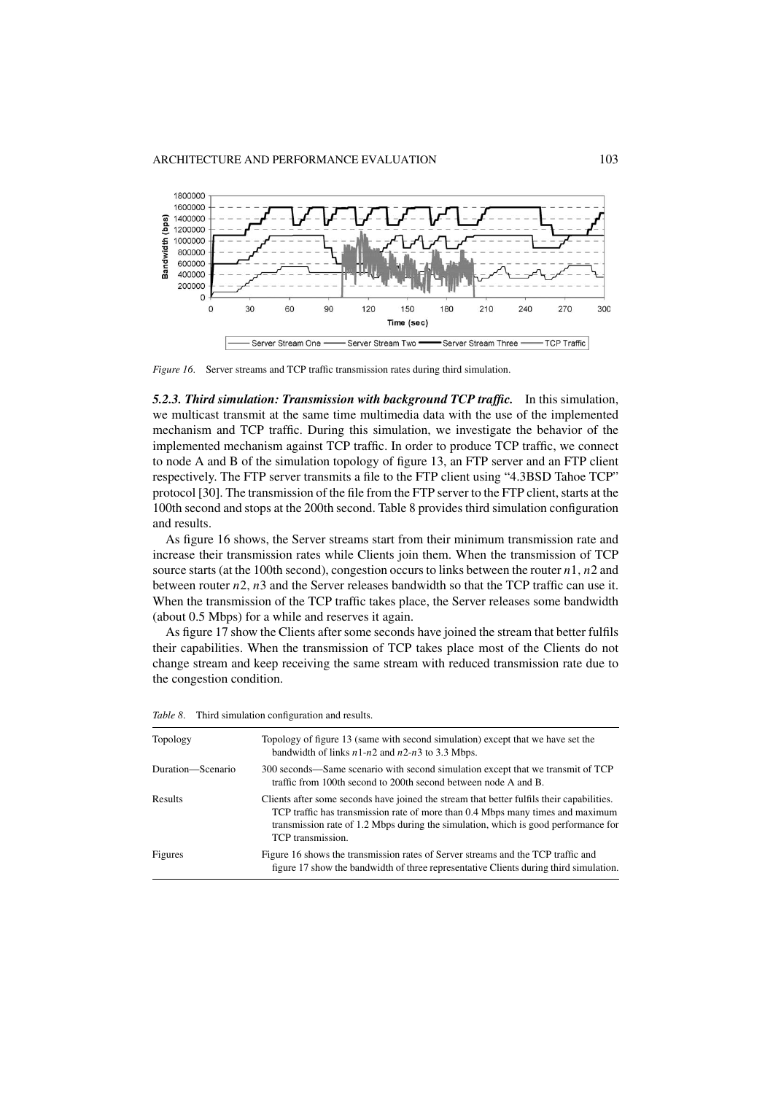

*Figure 16*. Server streams and TCP traffic transmission rates during third simulation.

*5.2.3. Third simulation: Transmission with background TCP traffic.* In this simulation, we multicast transmit at the same time multimedia data with the use of the implemented mechanism and TCP traffic. During this simulation, we investigate the behavior of the implemented mechanism against TCP traffic. In order to produce TCP traffic, we connect to node A and B of the simulation topology of figure 13, an FTP server and an FTP client respectively. The FTP server transmits a file to the FTP client using "4.3BSD Tahoe TCP" protocol [30]. The transmission of the file from the FTP server to the FTP client, starts at the 100th second and stops at the 200th second. Table 8 provides third simulation configuration and results.

As figure 16 shows, the Server streams start from their minimum transmission rate and increase their transmission rates while Clients join them. When the transmission of TCP source starts (at the 100th second), congestion occurs to links between the router *n*1, *n*2 and between router *n*2, *n*3 and the Server releases bandwidth so that the TCP traffic can use it. When the transmission of the TCP traffic takes place, the Server releases some bandwidth (about 0.5 Mbps) for a while and reserves it again.

As figure 17 show the Clients after some seconds have joined the stream that better fulfils their capabilities. When the transmission of TCP takes place most of the Clients do not change stream and keep receiving the same stream with reduced transmission rate due to the congestion condition.

| Topology          | Topology of figure 13 (same with second simulation) except that we have set the<br>bandwidth of links $n1-n2$ and $n2-n3$ to 3.3 Mbps.                                                                                                                                                 |
|-------------------|----------------------------------------------------------------------------------------------------------------------------------------------------------------------------------------------------------------------------------------------------------------------------------------|
| Duration—Scenario | 300 seconds—Same scenario with second simulation except that we transmit of TCP<br>traffic from 100th second to 200th second between node A and B.                                                                                                                                     |
| Results           | Clients after some seconds have joined the stream that better fulfils their capabilities.<br>TCP traffic has transmission rate of more than 0.4 Mbps many times and maximum<br>transmission rate of 1.2 Mbps during the simulation, which is good performance for<br>TCP transmission. |
| <b>Figures</b>    | Figure 16 shows the transmission rates of Server streams and the TCP traffic and<br>figure 17 show the bandwidth of three representative Clients during third simulation.                                                                                                              |

*Table 8*. Third simulation configuration and results.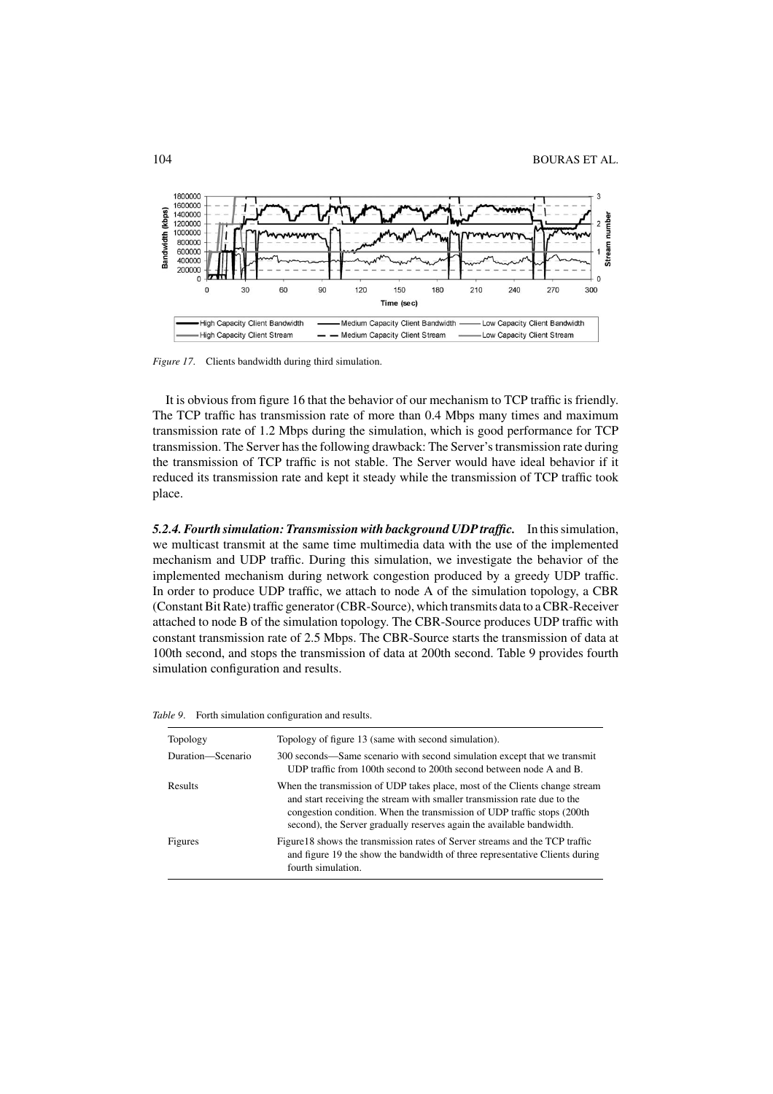

*Figure 17*. Clients bandwidth during third simulation.

It is obvious from figure 16 that the behavior of our mechanism to TCP traffic is friendly. The TCP traffic has transmission rate of more than 0.4 Mbps many times and maximum transmission rate of 1.2 Mbps during the simulation, which is good performance for TCP transmission. The Server has the following drawback: The Server's transmission rate during the transmission of TCP traffic is not stable. The Server would have ideal behavior if it reduced its transmission rate and kept it steady while the transmission of TCP traffic took place.

*5.2.4. Fourth simulation: Transmission with background UDP traffic.* In this simulation, we multicast transmit at the same time multimedia data with the use of the implemented mechanism and UDP traffic. During this simulation, we investigate the behavior of the implemented mechanism during network congestion produced by a greedy UDP traffic. In order to produce UDP traffic, we attach to node A of the simulation topology, a CBR (Constant Bit Rate) traffic generator (CBR-Source), which transmits data to a CBR-Receiver attached to node B of the simulation topology. The CBR-Source produces UDP traffic with constant transmission rate of 2.5 Mbps. The CBR-Source starts the transmission of data at 100th second, and stops the transmission of data at 200th second. Table 9 provides fourth simulation configuration and results.

*Table 9*. Forth simulation configuration and results.

| Topology          | Topology of figure 13 (same with second simulation).                                                                                                                                                                                                                                                         |
|-------------------|--------------------------------------------------------------------------------------------------------------------------------------------------------------------------------------------------------------------------------------------------------------------------------------------------------------|
| Duration—Scenario | 300 seconds—Same scenario with second simulation except that we transmit<br>UDP traffic from 100th second to 200th second between node A and B.                                                                                                                                                              |
| Results           | When the transmission of UDP takes place, most of the Clients change stream<br>and start receiving the stream with smaller transmission rate due to the<br>congestion condition. When the transmission of UDP traffic stops (200th)<br>second), the Server gradually reserves again the available bandwidth. |
| <b>Figures</b>    | Figure 18 shows the transmission rates of Server streams and the TCP traffic<br>and figure 19 the show the bandwidth of three representative Clients during<br>fourth simulation.                                                                                                                            |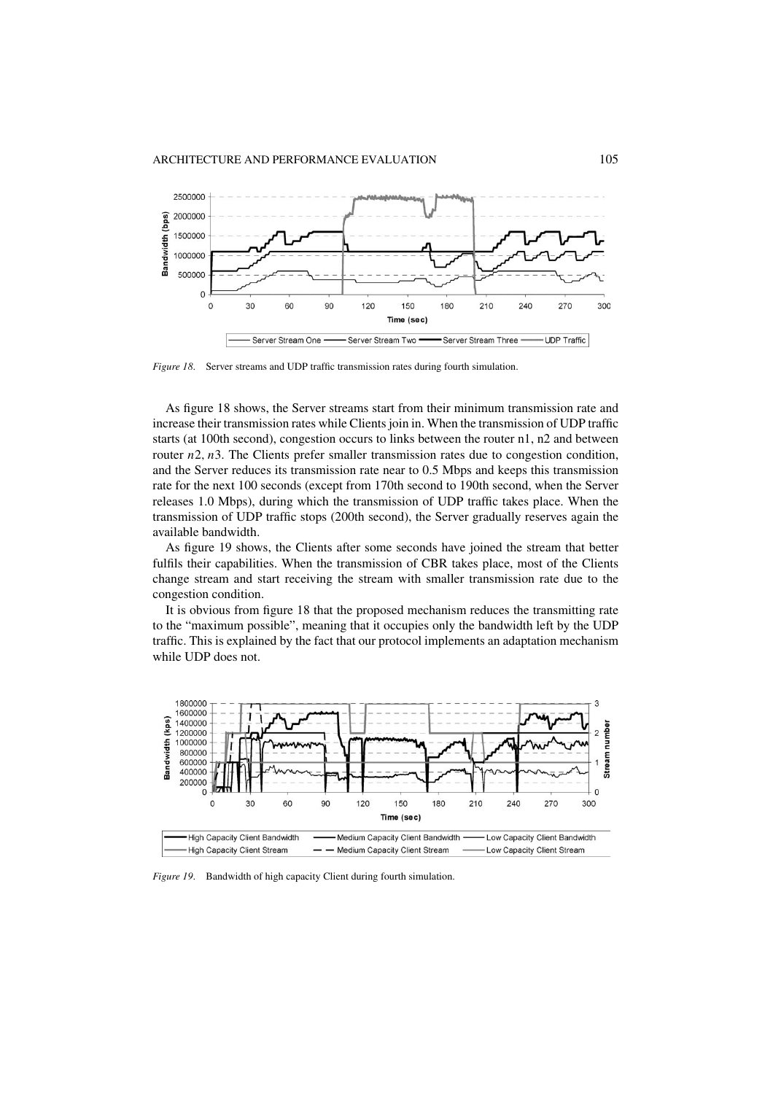

*Figure 18*. Server streams and UDP traffic transmission rates during fourth simulation.

As figure 18 shows, the Server streams start from their minimum transmission rate and increase their transmission rates while Clients join in. When the transmission of UDP traffic starts (at 100th second), congestion occurs to links between the router n1, n2 and between router *n*2, *n*3. The Clients prefer smaller transmission rates due to congestion condition, and the Server reduces its transmission rate near to 0.5 Mbps and keeps this transmission rate for the next 100 seconds (except from 170th second to 190th second, when the Server releases 1.0 Mbps), during which the transmission of UDP traffic takes place. When the transmission of UDP traffic stops (200th second), the Server gradually reserves again the available bandwidth.

As figure 19 shows, the Clients after some seconds have joined the stream that better fulfils their capabilities. When the transmission of CBR takes place, most of the Clients change stream and start receiving the stream with smaller transmission rate due to the congestion condition.

It is obvious from figure 18 that the proposed mechanism reduces the transmitting rate to the "maximum possible", meaning that it occupies only the bandwidth left by the UDP traffic. This is explained by the fact that our protocol implements an adaptation mechanism while UDP does not.



*Figure 19*. Bandwidth of high capacity Client during fourth simulation.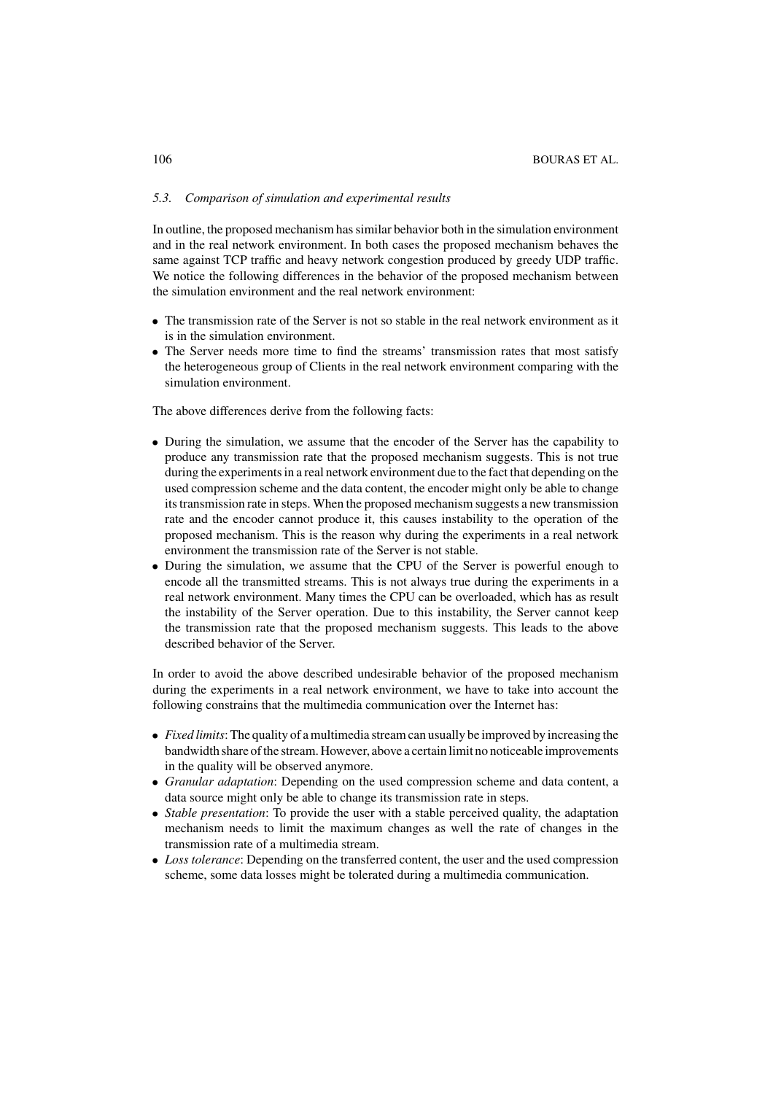## *5.3. Comparison of simulation and experimental results*

In outline, the proposed mechanism has similar behavior both in the simulation environment and in the real network environment. In both cases the proposed mechanism behaves the same against TCP traffic and heavy network congestion produced by greedy UDP traffic. We notice the following differences in the behavior of the proposed mechanism between the simulation environment and the real network environment:

- The transmission rate of the Server is not so stable in the real network environment as it is in the simulation environment.
- The Server needs more time to find the streams' transmission rates that most satisfy the heterogeneous group of Clients in the real network environment comparing with the simulation environment.

The above differences derive from the following facts:

- During the simulation, we assume that the encoder of the Server has the capability to produce any transmission rate that the proposed mechanism suggests. This is not true during the experiments in a real network environment due to the fact that depending on the used compression scheme and the data content, the encoder might only be able to change its transmission rate in steps. When the proposed mechanism suggests a new transmission rate and the encoder cannot produce it, this causes instability to the operation of the proposed mechanism. This is the reason why during the experiments in a real network environment the transmission rate of the Server is not stable.
- During the simulation, we assume that the CPU of the Server is powerful enough to encode all the transmitted streams. This is not always true during the experiments in a real network environment. Many times the CPU can be overloaded, which has as result the instability of the Server operation. Due to this instability, the Server cannot keep the transmission rate that the proposed mechanism suggests. This leads to the above described behavior of the Server.

In order to avoid the above described undesirable behavior of the proposed mechanism during the experiments in a real network environment, we have to take into account the following constrains that the multimedia communication over the Internet has:

- *Fixed limits*: The quality of a multimedia stream can usually be improved by increasing the bandwidth share of the stream. However, above a certain limit no noticeable improvements in the quality will be observed anymore.
- *Granular adaptation*: Depending on the used compression scheme and data content, a data source might only be able to change its transmission rate in steps.
- *Stable presentation*: To provide the user with a stable perceived quality, the adaptation mechanism needs to limit the maximum changes as well the rate of changes in the transmission rate of a multimedia stream.
- *Loss tolerance*: Depending on the transferred content, the user and the used compression scheme, some data losses might be tolerated during a multimedia communication.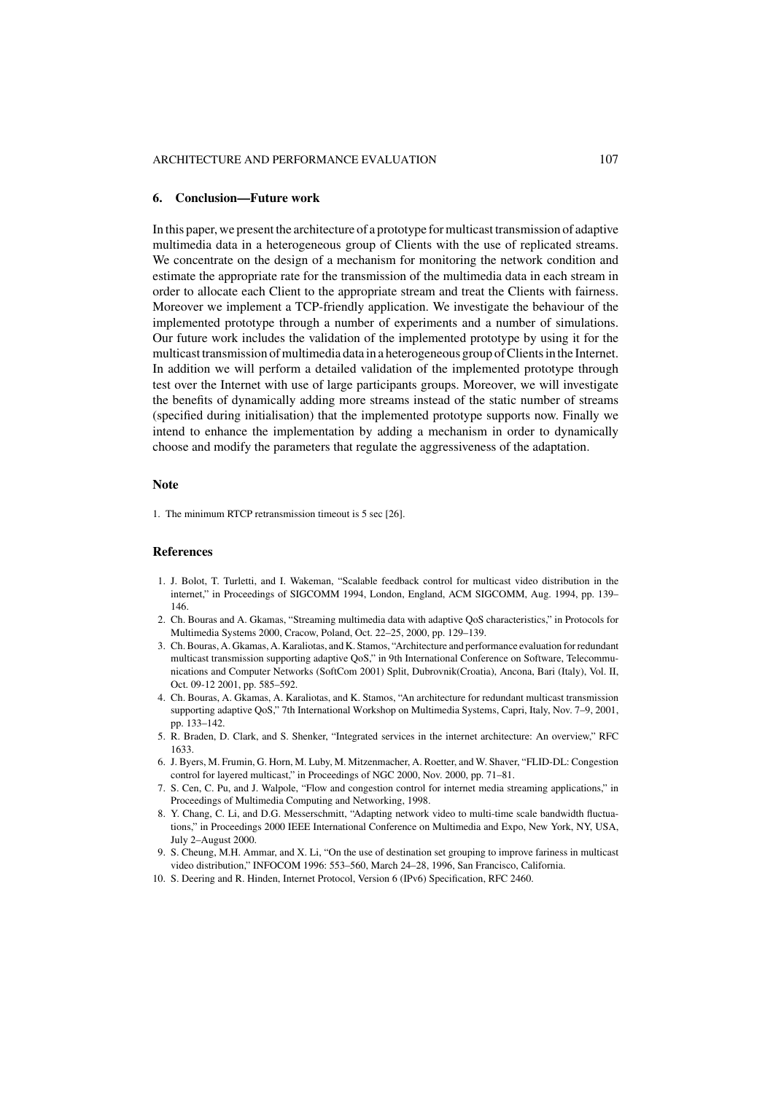## **6. Conclusion—Future work**

In this paper, we present the architecture of a prototype for multicast transmission of adaptive multimedia data in a heterogeneous group of Clients with the use of replicated streams. We concentrate on the design of a mechanism for monitoring the network condition and estimate the appropriate rate for the transmission of the multimedia data in each stream in order to allocate each Client to the appropriate stream and treat the Clients with fairness. Moreover we implement a TCP-friendly application. We investigate the behaviour of the implemented prototype through a number of experiments and a number of simulations. Our future work includes the validation of the implemented prototype by using it for the multicast transmission of multimedia data in a heterogeneous group of Clients in the Internet. In addition we will perform a detailed validation of the implemented prototype through test over the Internet with use of large participants groups. Moreover, we will investigate the benefits of dynamically adding more streams instead of the static number of streams (specified during initialisation) that the implemented prototype supports now. Finally we intend to enhance the implementation by adding a mechanism in order to dynamically choose and modify the parameters that regulate the aggressiveness of the adaptation.

## **Note**

1. The minimum RTCP retransmission timeout is 5 sec [26].

## **References**

- 1. J. Bolot, T. Turletti, and I. Wakeman, "Scalable feedback control for multicast video distribution in the internet," in Proceedings of SIGCOMM 1994, London, England, ACM SIGCOMM, Aug. 1994, pp. 139– 146.
- 2. Ch. Bouras and A. Gkamas, "Streaming multimedia data with adaptive QoS characteristics," in Protocols for Multimedia Systems 2000, Cracow, Poland, Oct. 22–25, 2000, pp. 129–139.
- 3. Ch. Bouras, A. Gkamas, A. Karaliotas, and K. Stamos, "Architecture and performance evaluation for redundant multicast transmission supporting adaptive QoS," in 9th International Conference on Software, Telecommunications and Computer Networks (SoftCom 2001) Split, Dubrovnik(Croatia), Ancona, Bari (Italy), Vol. II, Oct. 09-12 2001, pp. 585–592.
- 4. Ch. Bouras, A. Gkamas, A. Karaliotas, and K. Stamos, "An architecture for redundant multicast transmission supporting adaptive QoS," 7th International Workshop on Multimedia Systems, Capri, Italy, Nov. 7–9, 2001, pp. 133–142.
- 5. R. Braden, D. Clark, and S. Shenker, "Integrated services in the internet architecture: An overview," RFC 1633.
- 6. J. Byers, M. Frumin, G. Horn, M. Luby, M. Mitzenmacher, A. Roetter, and W. Shaver, "FLID-DL: Congestion control for layered multicast," in Proceedings of NGC 2000, Nov. 2000, pp. 71–81.
- 7. S. Cen, C. Pu, and J. Walpole, "Flow and congestion control for internet media streaming applications," in Proceedings of Multimedia Computing and Networking, 1998.
- 8. Y. Chang, C. Li, and D.G. Messerschmitt, "Adapting network video to multi-time scale bandwidth fluctuations," in Proceedings 2000 IEEE International Conference on Multimedia and Expo, New York, NY, USA, July 2–August 2000.
- 9. S. Cheung, M.H. Ammar, and X. Li, "On the use of destination set grouping to improve fariness in multicast video distribution," INFOCOM 1996: 553–560, March 24–28, 1996, San Francisco, California.
- 10. S. Deering and R. Hinden, Internet Protocol, Version 6 (IPv6) Specification, RFC 2460.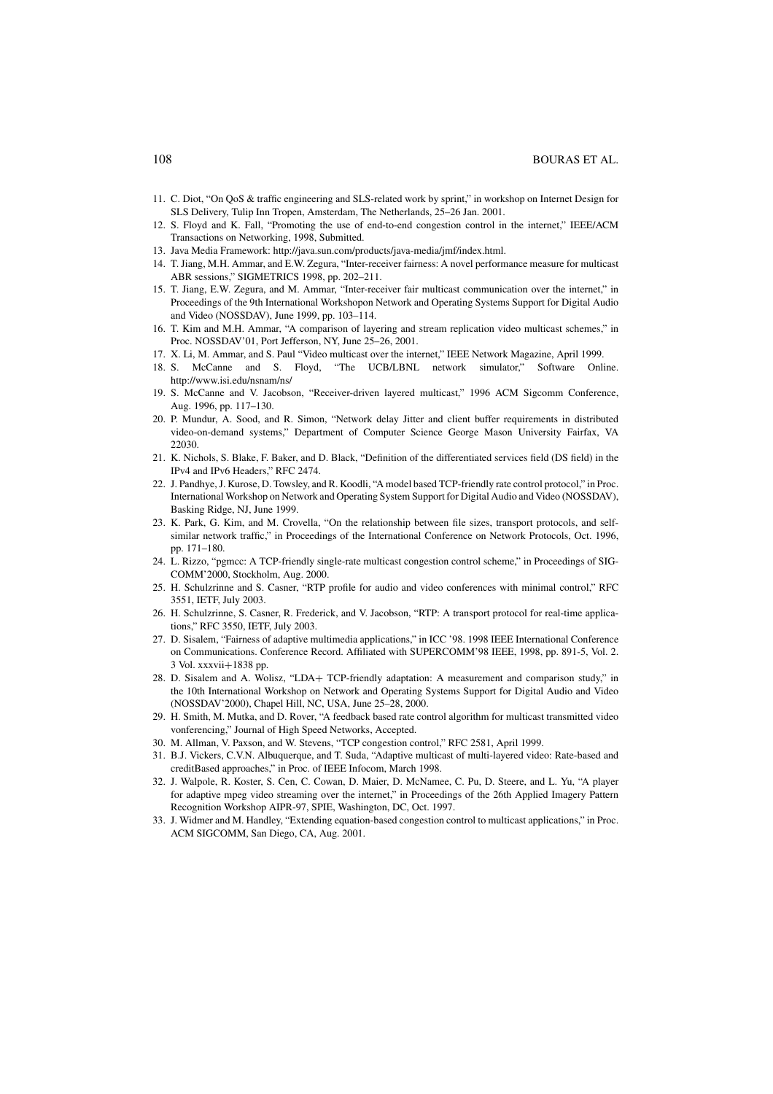- 11. C. Diot, "On QoS & traffic engineering and SLS-related work by sprint," in workshop on Internet Design for SLS Delivery, Tulip Inn Tropen, Amsterdam, The Netherlands, 25–26 Jan. 2001.
- 12. S. Floyd and K. Fall, "Promoting the use of end-to-end congestion control in the internet," IEEE/ACM Transactions on Networking, 1998, Submitted.
- 13. Java Media Framework: http://java.sun.com/products/java-media/jmf/index.html.
- 14. T. Jiang, M.H. Ammar, and E.W. Zegura, "Inter-receiver fairness: A novel performance measure for multicast ABR sessions," SIGMETRICS 1998, pp. 202–211.
- 15. T. Jiang, E.W. Zegura, and M. Ammar, "Inter-receiver fair multicast communication over the internet," in Proceedings of the 9th International Workshopon Network and Operating Systems Support for Digital Audio and Video (NOSSDAV), June 1999, pp. 103–114.
- 16. T. Kim and M.H. Ammar, "A comparison of layering and stream replication video multicast schemes," in Proc. NOSSDAV'01, Port Jefferson, NY, June 25–26, 2001.
- 17. X. Li, M. Ammar, and S. Paul "Video multicast over the internet," IEEE Network Magazine, April 1999.
- 18. S. McCanne and S. Floyd, "The UCB/LBNL network simulator," Software Online. http://www.isi.edu/nsnam/ns/
- 19. S. McCanne and V. Jacobson, "Receiver-driven layered multicast," 1996 ACM Sigcomm Conference, Aug. 1996, pp. 117–130.
- 20. P. Mundur, A. Sood, and R. Simon, "Network delay Jitter and client buffer requirements in distributed video-on-demand systems," Department of Computer Science George Mason University Fairfax, VA 22030.
- 21. K. Nichols, S. Blake, F. Baker, and D. Black, "Definition of the differentiated services field (DS field) in the IPv4 and IPv6 Headers," RFC 2474.
- 22. J. Pandhye, J. Kurose, D. Towsley, and R. Koodli, "A model based TCP-friendly rate control protocol," in Proc. International Workshop on Network and Operating System Support for Digital Audio and Video (NOSSDAV), Basking Ridge, NJ, June 1999.
- 23. K. Park, G. Kim, and M. Crovella, "On the relationship between file sizes, transport protocols, and selfsimilar network traffic," in Proceedings of the International Conference on Network Protocols, Oct. 1996, pp. 171–180.
- 24. L. Rizzo, "pgmcc: A TCP-friendly single-rate multicast congestion control scheme," in Proceedings of SIG-COMM'2000, Stockholm, Aug. 2000.
- 25. H. Schulzrinne and S. Casner, "RTP profile for audio and video conferences with minimal control," RFC 3551, IETF, July 2003.
- 26. H. Schulzrinne, S. Casner, R. Frederick, and V. Jacobson, "RTP: A transport protocol for real-time applications," RFC 3550, IETF, July 2003.
- 27. D. Sisalem, "Fairness of adaptive multimedia applications," in ICC '98. 1998 IEEE International Conference on Communications. Conference Record. Affiliated with SUPERCOMM'98 IEEE, 1998, pp. 891-5, Vol. 2. 3 Vol. xxxvii+1838 pp.
- 28. D. Sisalem and A. Wolisz, "LDA+ TCP-friendly adaptation: A measurement and comparison study," in the 10th International Workshop on Network and Operating Systems Support for Digital Audio and Video (NOSSDAV'2000), Chapel Hill, NC, USA, June 25–28, 2000.
- 29. H. Smith, M. Mutka, and D. Rover, "A feedback based rate control algorithm for multicast transmitted video vonferencing," Journal of High Speed Networks, Accepted.
- 30. M. Allman, V. Paxson, and W. Stevens, "TCP congestion control," RFC 2581, April 1999.
- 31. B.J. Vickers, C.V.N. Albuquerque, and T. Suda, "Adaptive multicast of multi-layered video: Rate-based and creditBased approaches," in Proc. of IEEE Infocom, March 1998.
- 32. J. Walpole, R. Koster, S. Cen, C. Cowan, D. Maier, D. McNamee, C. Pu, D. Steere, and L. Yu, "A player for adaptive mpeg video streaming over the internet," in Proceedings of the 26th Applied Imagery Pattern Recognition Workshop AIPR-97, SPIE, Washington, DC, Oct. 1997.
- 33. J. Widmer and M. Handley, "Extending equation-based congestion control to multicast applications," in Proc. ACM SIGCOMM, San Diego, CA, Aug. 2001.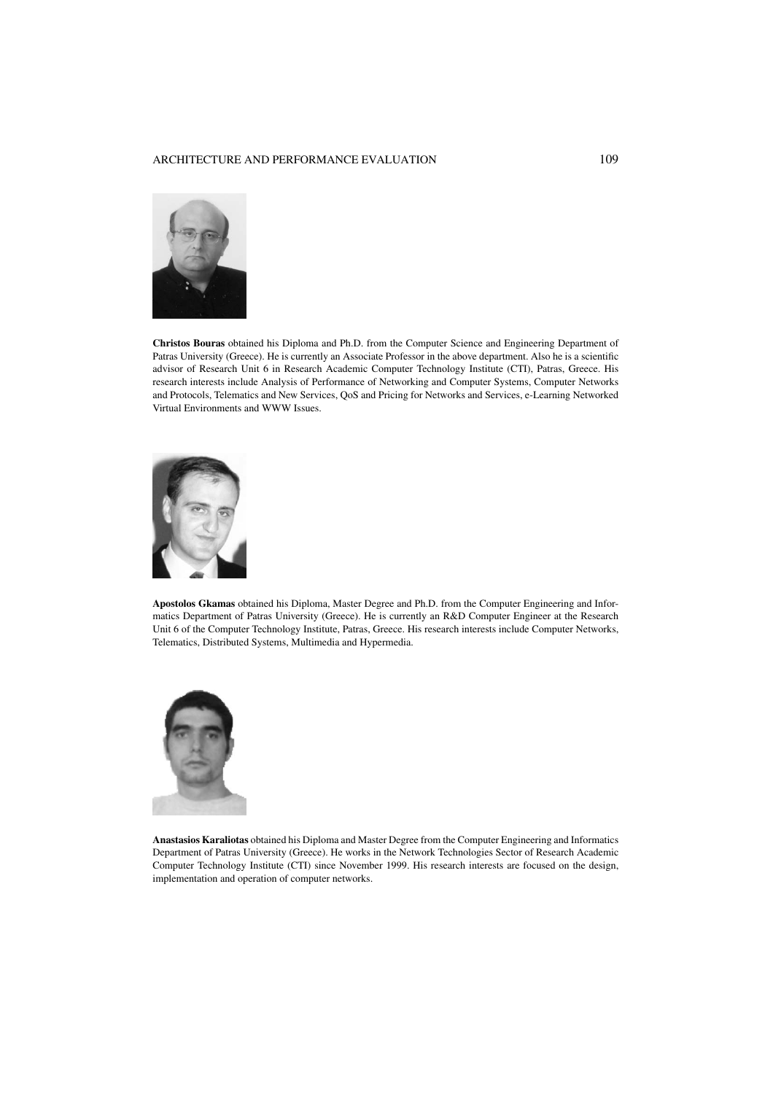## ARCHITECTURE AND PERFORMANCE EVALUATION 109



**Christos Bouras** obtained his Diploma and Ph.D. from the Computer Science and Engineering Department of Patras University (Greece). He is currently an Associate Professor in the above department. Also he is a scientific advisor of Research Unit 6 in Research Academic Computer Technology Institute (CTI), Patras, Greece. His research interests include Analysis of Performance of Networking and Computer Systems, Computer Networks and Protocols, Telematics and New Services, QoS and Pricing for Networks and Services, e-Learning Networked Virtual Environments and WWW Issues.



**Apostolos Gkamas** obtained his Diploma, Master Degree and Ph.D. from the Computer Engineering and Informatics Department of Patras University (Greece). He is currently an R&D Computer Engineer at the Research Unit 6 of the Computer Technology Institute, Patras, Greece. His research interests include Computer Networks, Telematics, Distributed Systems, Multimedia and Hypermedia.



**Anastasios Karaliotas** obtained his Diploma and Master Degree from the Computer Engineering and Informatics Department of Patras University (Greece). He works in the Network Technologies Sector of Research Academic Computer Technology Institute (CTI) since November 1999. His research interests are focused on the design, implementation and operation of computer networks.